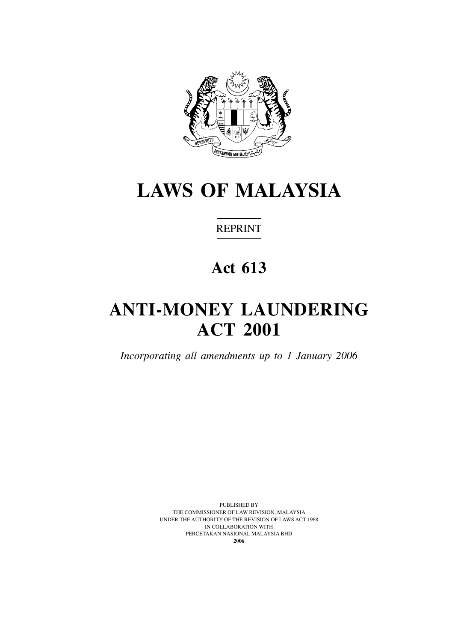

# **LAWS OF MALAYSIA**

**REPRINT** 

# **Act 613**

# **Anti-money laundering act 2001**

*Incorporating all amendments up to 1 January 2006*

Published by The Commissioner of Law revision, Malaysia Under the Authority of the Revision of Laws Act 1968 in Collaboration with Percetakan Nasional Malaysia Bhd **2006**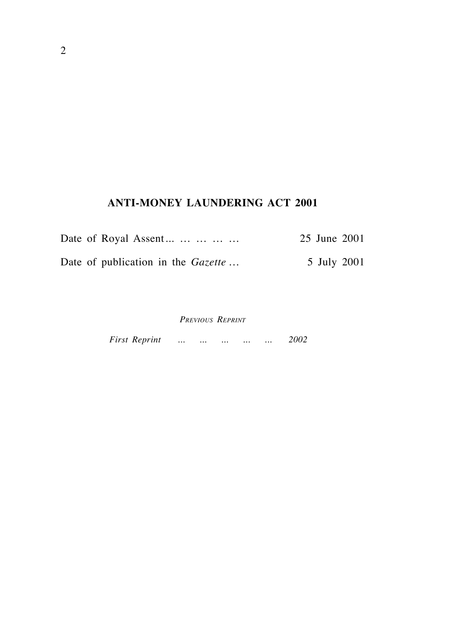# **Anti-money LaUndering Act 2001**

| Date of Royal Assent                      | 25 June 2001 |
|-------------------------------------------|--------------|
| Date of publication in the <i>Gazette</i> | 5 July 2001  |

*Previous Reprint*

*First Reprint ... ... ... ... ... 2002*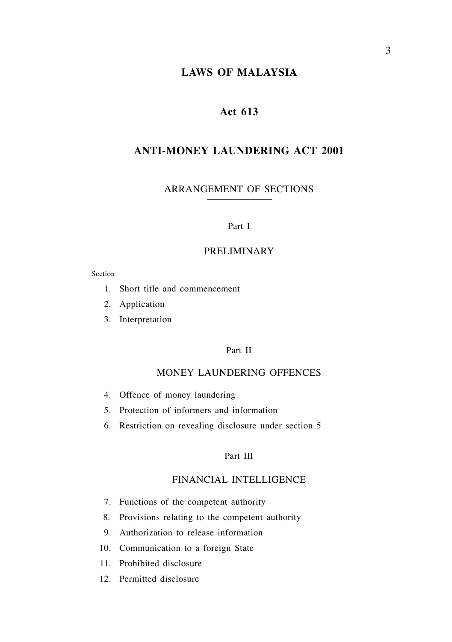# **LAWS OF MALAYSIA**

# **Act 613**

# **ANTI-MONEY LAUNDERING ACT 2001**

ARRANGEMENT OF SECTIONS

#### Part I

#### PRELIMINARY

#### Section

- 1. Short title and commencement
- 2. Application
- 3. Interpretation

#### Part Ii

#### MONEY LAUNDERING OFFENCES

- 4. Offence of money laundering
- 5. Protection of informers and information
- 6. Restriction on revealing disclosure under section 5

#### Part III

## FINANCIAL INTELLIGENCE

- 7. Functions of the competent authority
- 8. Provisions relating to the competent authority
- 9. Authorization to release information
- 10. Communication to a foreign State
- 11. Prohibited disclosure
- 12. Permitted disclosure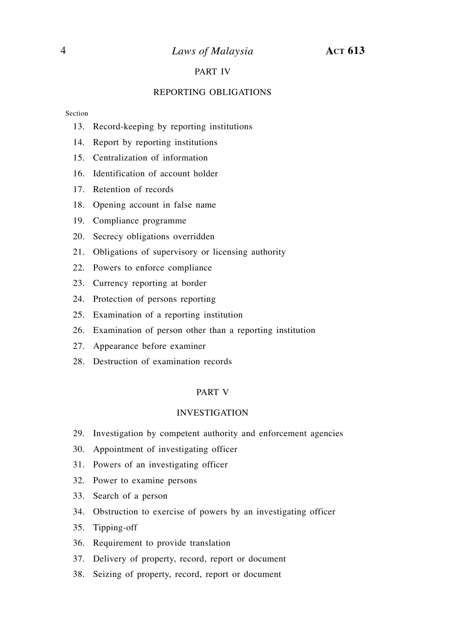# *Laws of Malaysia* **Act 613**

# PART IV

#### REPORTING OBLIGATIONS

#### Section

- 13. Record-keeping by reporting institutions
- 14. Report by reporting institutions
- 15. Centralization of information
- 16. Identification of account holder
- 17. Retention of records
- 18. Opening account in false name
- 19. Compliance programme
- 20. Secrecy obligations overridden
- 21. Obligations of supervisory or licensing authority
- 22. Powers to enforce compliance
- 23. Currency reporting at border
- 24. Protection of persons reporting
- 25. Examination of a reporting institution
- 26. Examination of person other than a reporting institution
- 27. Appearance before examiner
- 28. Destruction of examination records

#### PART V

#### INVESTIGATION

- 29. Investigation by competent authority and enforcement agencies
- 30. Appointment of investigating officer
- 31. Powers of an investigating officer
- 32. Power to examine persons
- 33. Search of a person
- 34. Obstruction to exercise of powers by an investigating officer
- 35. Tipping-off
- 36. Requirement to provide translation
- 37. Delivery of property, record, report or document
- 38. Seizing of property, record, report or document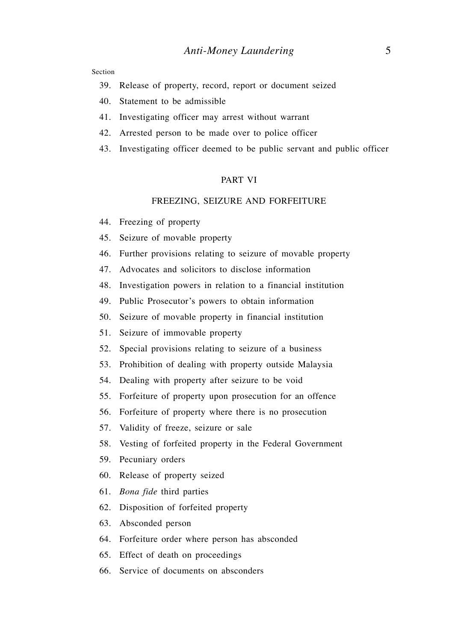Section

- 39. Release of property, record, report or document seized
- 40. Statement to be admissible
- 41. Investigating officer may arrest without warrant
- 42. Arrested person to be made over to police officer
- 43. Investigating officer deemed to be public servant and public officer

#### PART VI

#### FREEZING, SEIZURE AND FORFEITURE

- 44. Freezing of property
- 45. Seizure of movable property
- 46. Further provisions relating to seizure of movable property
- 47. Advocates and solicitors to disclose information
- 48. Investigation powers in relation to a financial institution
- 49. Public Prosecutor's powers to obtain information
- 50. Seizure of movable property in financial institution
- 51. Seizure of immovable property
- 52. Special provisions relating to seizure of a business
- 53. Prohibition of dealing with property outside Malaysia
- 54. Dealing with property after seizure to be void
- 55. Forfeiture of property upon prosecution for an offence
- 56. Forfeiture of property where there is no prosecution
- 57. Validity of freeze, seizure or sale
- 58. Vesting of forfeited property in the Federal Government
- 59. Pecuniary orders
- 60. Release of property seized
- 61. *Bona fide* third parties
- 62. Disposition of forfeited property
- 63. Absconded person
- 64. Forfeiture order where person has absconded
- 65. Effect of death on proceedings
- 66. Service of documents on absconders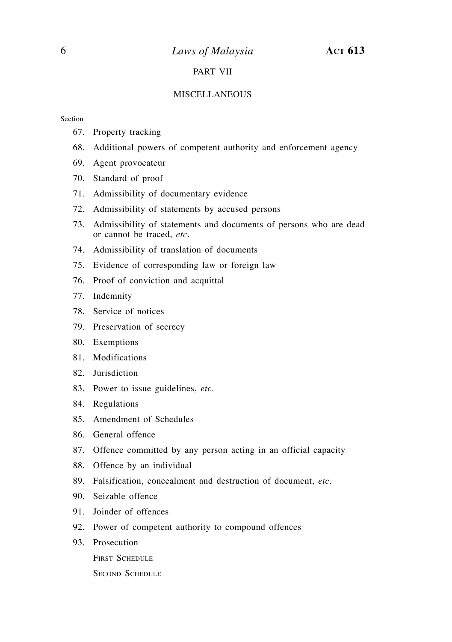## PART VII

#### MISCELLANEOUS

#### Section

- 67. Property tracking
- 68. Additional powers of competent authority and enforcement agency
- 69. Agent provocateur
- 70. Standard of proof
- 71. Admissibility of documentary evidence
- 72. Admissibility of statements by accused persons
- 73. Admissibility of statements and documents of persons who are dead or cannot be traced, *etc*.
- 74. Admissibility of translation of documents
- 75. Evidence of corresponding law or foreign law
- 76. Proof of conviction and acquittal
- 77. Indemnity
- 78. Service of notices
- 79. Preservation of secrecy
- 80. Exemptions
- 81. Modifications
- 82. Jurisdiction
- 83. Power to issue guidelines, *etc*.
- 84. Regulations
- 85. Amendment of Schedules
- 86. General offence
- 87. Offence committed by any person acting in an official capacity
- 88. Offence by an individual
- 89. Falsification, concealment and destruction of document, *etc*.
- 90. Seizable offence
- 91. Joinder of offences
- 92. Power of competent authority to compound offences
- 93. Prosecution

FIRST SCHEDULE

**SECOND SCHEDULE**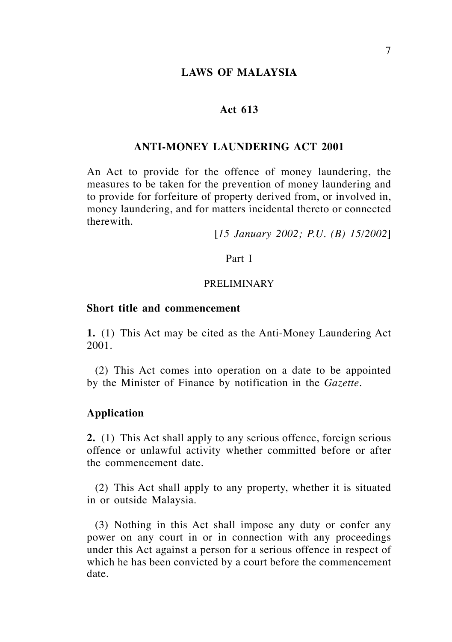## **LAWS OF MALAYSIA**

## **Act 613**

#### **ANTI-MONEY LAUNDERING ACT 2001**

An Act to provide for the offence of money laundering, the measures to be taken for the prevention of money laundering and to provide for forfeiture of property derived from, or involved in, money laundering, and for matters incidental thereto or connected therewith.

[*15 January 2002; P.U. (B) 15/2002*]

#### Part I

## PRELIMINARY

#### **Short title and commencement**

**1.** (1) This Act may be cited as the Anti-Money Laundering Act 2001.

(2) This Act comes into operation on a date to be appointed by the Minister of Finance by notification in the *Gazette*.

## **Application**

**2.** (1) This Act shall apply to any serious offence, foreign serious offence or unlawful activity whether committed before or after the commencement date.

(2) This Act shall apply to any property, whether it is situated in or outside Malaysia.

(3) Nothing in this Act shall impose any duty or confer any power on any court in or in connection with any proceedings under this Act against a person for a serious offence in respect of which he has been convicted by a court before the commencement date.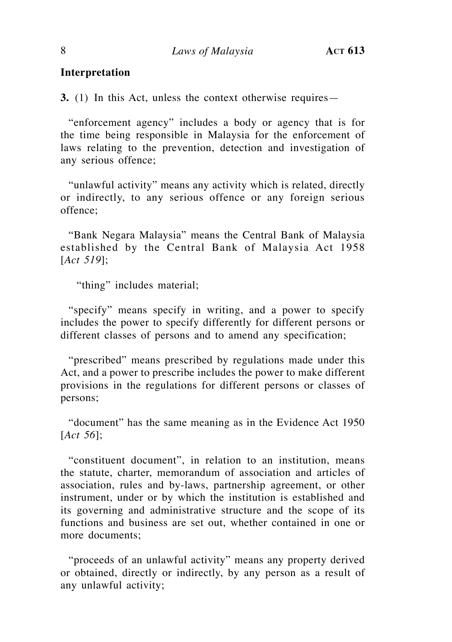# **Interpretation**

**3.** (1) In this Act, unless the context otherwise requires—

"enforcement agency" includes a body or agency that is for the time being responsible in Malaysia for the enforcement of laws relating to the prevention, detection and investigation of any serious offence;

"unlawful activity" means any activity which is related, directly or indirectly, to any serious offence or any foreign serious offence;

"Bank Negara Malaysia" means the Central Bank of Malaysia established by the Central Bank of Malaysia Act 1958 [*Act 519*];

"thing" includes material;

"specify" means specify in writing, and a power to specify includes the power to specify differently for different persons or different classes of persons and to amend any specification;

"prescribed" means prescribed by regulations made under this Act, and a power to prescribe includes the power to make different provisions in the regulations for different persons or classes of persons;

"document" has the same meaning as in the Evidence Act 1950 [*Act 56*];

"constituent document", in relation to an institution, means the statute, charter, memorandum of association and articles of association, rules and by-laws, partnership agreement, or other instrument, under or by which the institution is established and its governing and administrative structure and the scope of its functions and business are set out, whether contained in one or more documents;

"proceeds of an unlawful activity" means any property derived or obtained, directly or indirectly, by any person as a result of any unlawful activity;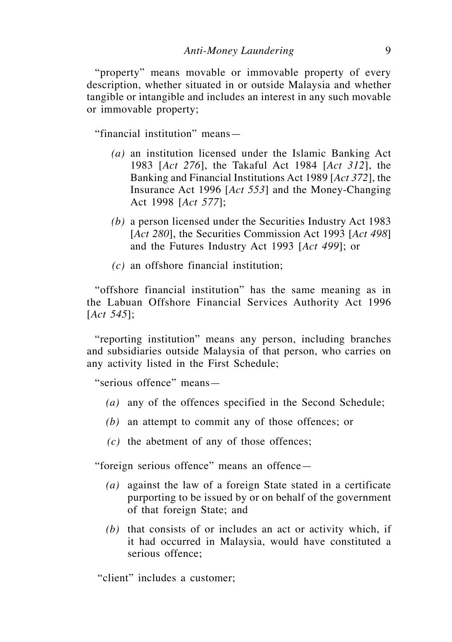"property" means movable or immovable property of every description, whether situated in or outside Malaysia and whether tangible or intangible and includes an interest in any such movable or immovable property;

"financial institution" means—

- *(a)* an institution licensed under the Islamic Banking Act 1983 [*Act 276*], the Takaful Act 1984 [*Act 312*], the Banking and Financial Institutions Act 1989 [*Act 372*], the Insurance Act 1996 [*Act 553*] and the Money-Changing Act 1998 [*Act 577*];
- *(b)* a person licensed under the Securities Industry Act 1983 [*Act 280*], the Securities Commission Act 1993 [*Act 498*] and the Futures Industry Act 1993 [*Act 499*]; or
- *(c)* an offshore financial institution;

"offshore financial institution" has the same meaning as in the Labuan Offshore Financial Services Authority Act 1996 [*Act 545*];

"reporting institution" means any person, including branches and subsidiaries outside Malaysia of that person, who carries on any activity listed in the First Schedule;

"serious offence" means—

- *(a)* any of the offences specified in the Second Schedule;
- *(b)* an attempt to commit any of those offences; or
- *(c)* the abetment of any of those offences;

"foreign serious offence" means an offence—

- *(a)* against the law of a foreign State stated in a certificate purporting to be issued by or on behalf of the government of that foreign State; and
- *(b)* that consists of or includes an act or activity which, if it had occurred in Malaysia, would have constituted a serious offence;

"client" includes a customer;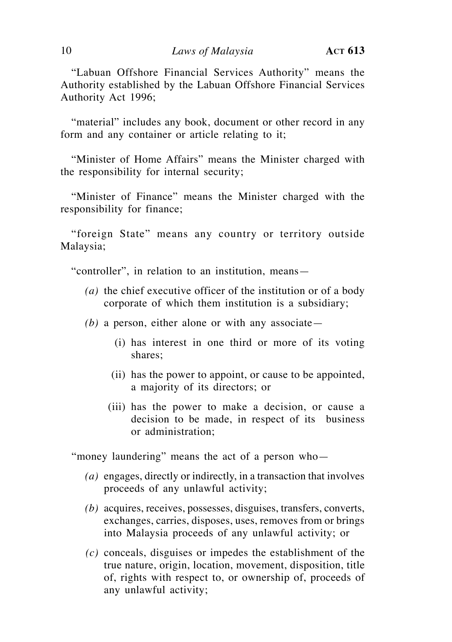"Labuan Offshore Financial Services Authority" means the Authority established by the Labuan Offshore Financial Services Authority Act 1996;

"material" includes any book, document or other record in any form and any container or article relating to it;

"Minister of Home Affairs" means the Minister charged with the responsibility for internal security;

"Minister of Finance" means the Minister charged with the responsibility for finance;

"foreign State" means any country or territory outside Malaysia;

"controller", in relation to an institution, means—

- *(a)* the chief executive officer of the institution or of a body corporate of which them institution is a subsidiary;
- *(b)* a person, either alone or with any associate—
	- (i) has interest in one third or more of its voting shares;
	- (ii) has the power to appoint, or cause to be appointed, a majority of its directors; or
	- (iii) has the power to make a decision, or cause a decision to be made, in respect of its business or administration;

"money laundering" means the act of a person who—

- *(a)* engages, directly or indirectly, in a transaction that involves proceeds of any unlawful activity;
- *(b)* acquires, receives, possesses, disguises, transfers, converts, exchanges, carries, disposes, uses, removes from or brings into Malaysia proceeds of any unlawful activity; or
- *(c)* conceals, disguises or impedes the establishment of the true nature, origin, location, movement, disposition, title of, rights with respect to, or ownership of, proceeds of any unlawful activity;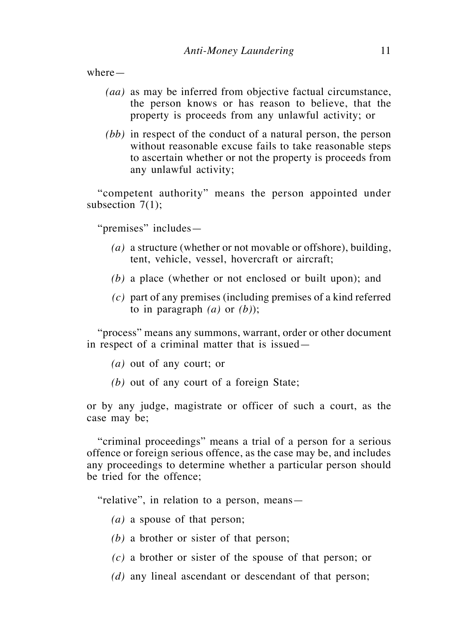where—

- *(aa)* as may be inferred from objective factual circumstance, the person knows or has reason to believe, that the property is proceeds from any unlawful activity; or
- *(bb)* in respect of the conduct of a natural person, the person without reasonable excuse fails to take reasonable steps to ascertain whether or not the property is proceeds from any unlawful activity;

"competent authority" means the person appointed under subsection 7(1);

"premises" includes—

- *(a)* a structure (whether or not movable or offshore), building, tent, vehicle, vessel, hovercraft or aircraft;
- *(b)* a place (whether or not enclosed or built upon); and
- *(c)* part of any premises (including premises of a kind referred to in paragraph  $(a)$  or  $(b)$ ;

"process" means any summons, warrant, order or other document in respect of a criminal matter that is issued—

- *(a)* out of any court; or
- *(b)* out of any court of a foreign State;

or by any judge, magistrate or officer of such a court, as the case may be;

"criminal proceedings" means a trial of a person for a serious offence or foreign serious offence, as the case may be, and includes any proceedings to determine whether a particular person should be tried for the offence;

"relative", in relation to a person, means—

- *(a)* a spouse of that person;
- *(b)* a brother or sister of that person;
- *(c)* a brother or sister of the spouse of that person; or
- *(d)* any lineal ascendant or descendant of that person;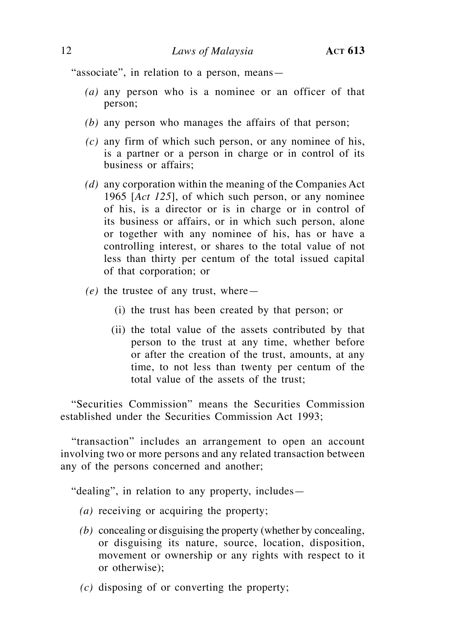"associate", in relation to a person, means—

- *(a)* any person who is a nominee or an officer of that person;
- *(b)* any person who manages the affairs of that person;
- *(c)* any firm of which such person, or any nominee of his, is a partner or a person in charge or in control of its business or affairs;
- *(d)* any corporation within the meaning of the Companies Act 1965 [*Act 125*], of which such person, or any nominee of his, is a director or is in charge or in control of its business or affairs, or in which such person, alone or together with any nominee of his, has or have a controlling interest, or shares to the total value of not less than thirty per centum of the total issued capital of that corporation; or
- *(e)* the trustee of any trust, where—
	- (i) the trust has been created by that person; or
	- (ii) the total value of the assets contributed by that person to the trust at any time, whether before or after the creation of the trust, amounts, at any time, to not less than twenty per centum of the total value of the assets of the trust;

"Securities Commission" means the Securities Commission established under the Securities Commission Act 1993;

"transaction" includes an arrangement to open an account involving two or more persons and any related transaction between any of the persons concerned and another;

"dealing", in relation to any property, includes—

- *(a)* receiving or acquiring the property;
- *(b)* concealing or disguising the property (whether by concealing, or disguising its nature, source, location, disposition, movement or ownership or any rights with respect to it or otherwise);
- *(c)* disposing of or converting the property;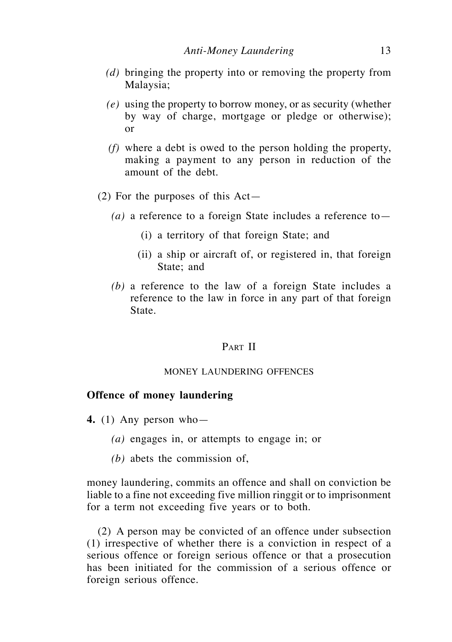- *(d)* bringing the property into or removing the property from Malaysia;
- *(e)* using the property to borrow money, or as security (whether by way of charge, mortgage or pledge or otherwise); or
- *(f)* where a debt is owed to the person holding the property, making a payment to any person in reduction of the amount of the debt.
- (2) For the purposes of this Act—
	- *(a)* a reference to a foreign State includes a reference to—
		- (i) a territory of that foreign State; and
		- (ii) a ship or aircraft of, or registered in, that foreign State; and
	- *(b)* a reference to the law of a foreign State includes a reference to the law in force in any part of that foreign State.

## PART II

#### MONEY LAUNDERING OFFENCES

#### **Offence of money laundering**

- **4.** (1) Any person who—
	- *(a)* engages in, or attempts to engage in; or
	- *(b)* abets the commission of,

money laundering, commits an offence and shall on conviction be liable to a fine not exceeding five million ringgit or to imprisonment for a term not exceeding five years or to both.

(2) A person may be convicted of an offence under subsection (1) irrespective of whether there is a conviction in respect of a serious offence or foreign serious offence or that a prosecution has been initiated for the commission of a serious offence or foreign serious offence.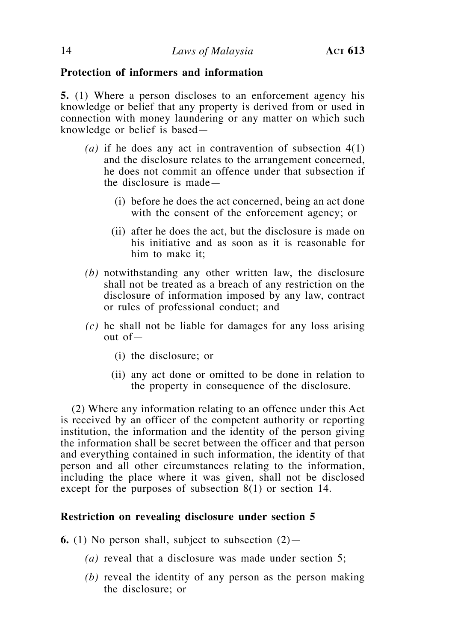## **Protection of informers and information**

**5.** (1) Where a person discloses to an enforcement agency his knowledge or belief that any property is derived from or used in connection with money laundering or any matter on which such knowledge or belief is based—

- *(a)* if he does any act in contravention of subsection 4(1) and the disclosure relates to the arrangement concerned, he does not commit an offence under that subsection if the disclosure is made—
	- (i) before he does the act concerned, being an act done with the consent of the enforcement agency; or
	- (ii) after he does the act, but the disclosure is made on his initiative and as soon as it is reasonable for him to make it;
- *(b)* notwithstanding any other written law, the disclosure shall not be treated as a breach of any restriction on the disclosure of information imposed by any law, contract or rules of professional conduct; and
- *(c)* he shall not be liable for damages for any loss arising out of—
	- (i) the disclosure; or
	- (ii) any act done or omitted to be done in relation to the property in consequence of the disclosure.

(2) Where any information relating to an offence under this Act is received by an officer of the competent authority or reporting institution, the information and the identity of the person giving the information shall be secret between the officer and that person and everything contained in such information, the identity of that person and all other circumstances relating to the information, including the place where it was given, shall not be disclosed except for the purposes of subsection 8(1) or section 14.

# **Restriction on revealing disclosure under section 5**

**6.** (1) No person shall, subject to subsection (2)—

- *(a)* reveal that a disclosure was made under section 5;
- *(b)* reveal the identity of any person as the person making the disclosure; or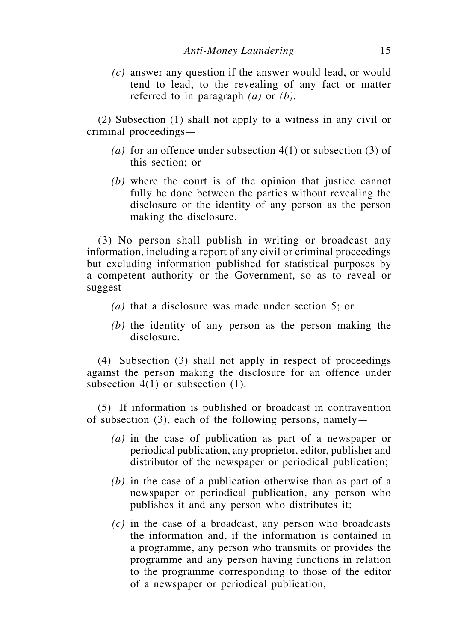*(c)* answer any question if the answer would lead, or would tend to lead, to the revealing of any fact or matter referred to in paragraph *(a)* or *(b)*.

(2) Subsection (1) shall not apply to a witness in any civil or criminal proceedings—

- *(a)* for an offence under subsection 4(1) or subsection (3) of this section; or
- *(b)* where the court is of the opinion that justice cannot fully be done between the parties without revealing the disclosure or the identity of any person as the person making the disclosure.

(3) No person shall publish in writing or broadcast any information, including a report of any civil or criminal proceedings but excluding information published for statistical purposes by a competent authority or the Government, so as to reveal or suggest—

- *(a)* that a disclosure was made under section 5; or
- *(b)* the identity of any person as the person making the disclosure.

(4) Subsection (3) shall not apply in respect of proceedings against the person making the disclosure for an offence under subsection 4(1) or subsection (1).

(5) If information is published or broadcast in contravention of subsection (3), each of the following persons, namely—

- *(a)* in the case of publication as part of a newspaper or periodical publication, any proprietor, editor, publisher and distributor of the newspaper or periodical publication;
- *(b)* in the case of a publication otherwise than as part of a newspaper or periodical publication, any person who publishes it and any person who distributes it;
- *(c)* in the case of a broadcast, any person who broadcasts the information and, if the information is contained in a programme, any person who transmits or provides the programme and any person having functions in relation to the programme corresponding to those of the editor of a newspaper or periodical publication,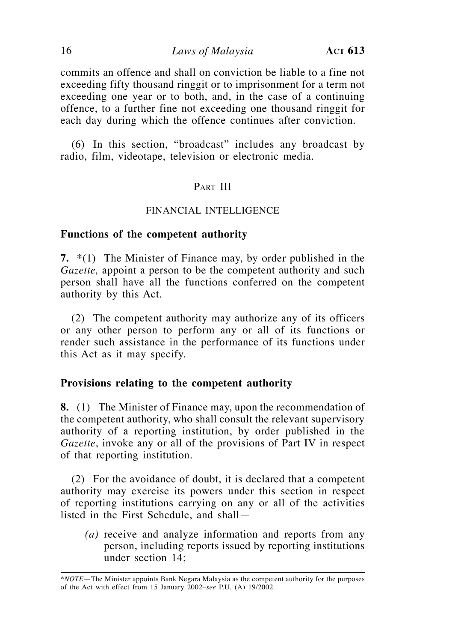commits an offence and shall on conviction be liable to a fine not exceeding fifty thousand ringgit or to imprisonment for a term not exceeding one year or to both, and, in the case of a continuing offence, to a further fine not exceeding one thousand ringgit for each day during which the offence continues after conviction.

(6) In this section, "broadcast" includes any broadcast by radio, film, videotape, television or electronic media.

## PART III

### FINANCIAL INTELLIGENCE

### **Functions of the competent authority**

**7.** \*(1) The Minister of Finance may, by order published in the *Gazette,* appoint a person to be the competent authority and such person shall have all the functions conferred on the competent authority by this Act.

(2) The competent authority may authorize any of its officers or any other person to perform any or all of its functions or render such assistance in the performance of its functions under this Act as it may specify.

### **Provisions relating to the competent authority**

**8.** (1) The Minister of Finance may, upon the recommendation of the competent authority, who shall consult the relevant supervisory authority of a reporting institution, by order published in the *Gazette*, invoke any or all of the provisions of Part IV in respect of that reporting institution.

(2) For the avoidance of doubt, it is declared that a competent authority may exercise its powers under this section in respect of reporting institutions carrying on any or all of the activities listed in the First Schedule, and shall—

*(a)* receive and analyze information and reports from any person, including reports issued by reporting institutions under section 14;

<sup>\*</sup>*NOTE*—The Minister appoints Bank Negara Malaysia as the competent authority for the purposes of the Act with effect from 15 January 2002–*see* P.U. (A) 19/2002.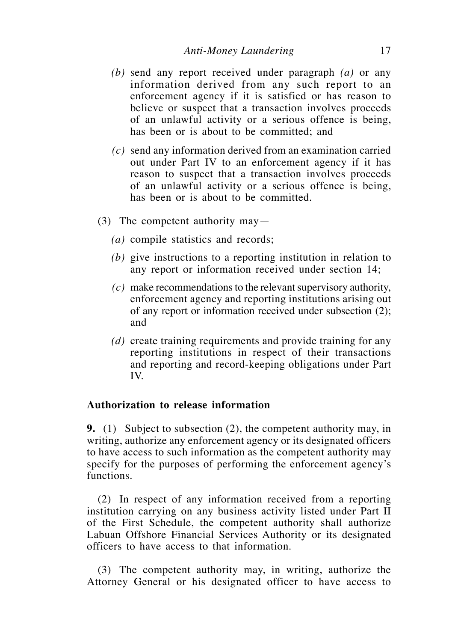- *(b)* send any report received under paragraph *(a)* or any information derived from any such report to an enforcement agency if it is satisfied or has reason to believe or suspect that a transaction involves proceeds of an unlawful activity or a serious offence is being, has been or is about to be committed; and
- *(c)* send any information derived from an examination carried out under Part IV to an enforcement agency if it has reason to suspect that a transaction involves proceeds of an unlawful activity or a serious offence is being, has been or is about to be committed.
- (3) The competent authority may—
	- *(a)* compile statistics and records;
	- *(b)* give instructions to a reporting institution in relation to any report or information received under section 14;
	- *(c)* make recommendations to the relevant supervisory authority, enforcement agency and reporting institutions arising out of any report or information received under subsection (2); and
	- *(d)* create training requirements and provide training for any reporting institutions in respect of their transactions and reporting and record-keeping obligations under Part IV.

# **Authorization to release information**

**9.** (1) Subject to subsection (2), the competent authority may, in writing, authorize any enforcement agency or its designated officers to have access to such information as the competent authority may specify for the purposes of performing the enforcement agency's functions.

(2) In respect of any information received from a reporting institution carrying on any business activity listed under Part II of the First Schedule, the competent authority shall authorize Labuan Offshore Financial Services Authority or its designated officers to have access to that information.

(3) The competent authority may, in writing, authorize the Attorney General or his designated officer to have access to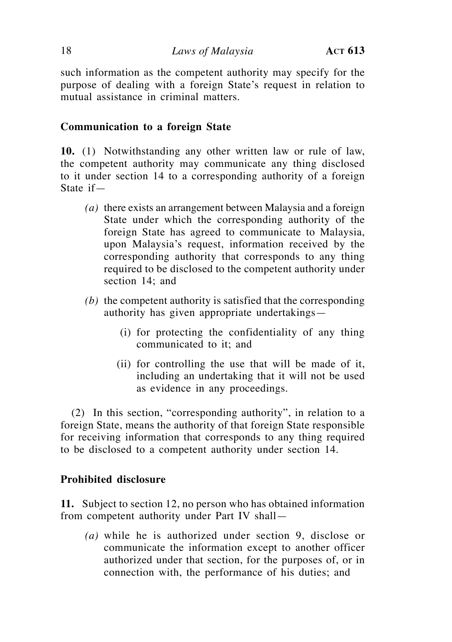such information as the competent authority may specify for the purpose of dealing with a foreign State's request in relation to mutual assistance in criminal matters.

# **Communication to a foreign State**

**10.** (1) Notwithstanding any other written law or rule of law, the competent authority may communicate any thing disclosed to it under section 14 to a corresponding authority of a foreign State if—

- *(a)* there exists an arrangement between Malaysia and a foreign State under which the corresponding authority of the foreign State has agreed to communicate to Malaysia, upon Malaysia's request, information received by the corresponding authority that corresponds to any thing required to be disclosed to the competent authority under section 14; and
- *(b)* the competent authority is satisfied that the corresponding authority has given appropriate undertakings—
	- (i) for protecting the confidentiality of any thing communicated to it; and
	- (ii) for controlling the use that will be made of it, including an undertaking that it will not be used as evidence in any proceedings.

(2) In this section, "corresponding authority", in relation to a foreign State, means the authority of that foreign State responsible for receiving information that corresponds to any thing required to be disclosed to a competent authority under section 14.

# **Prohibited disclosure**

**11.** Subject to section 12, no person who has obtained information from competent authority under Part IV shall—

*(a)* while he is authorized under section 9, disclose or communicate the information except to another officer authorized under that section, for the purposes of, or in connection with, the performance of his duties; and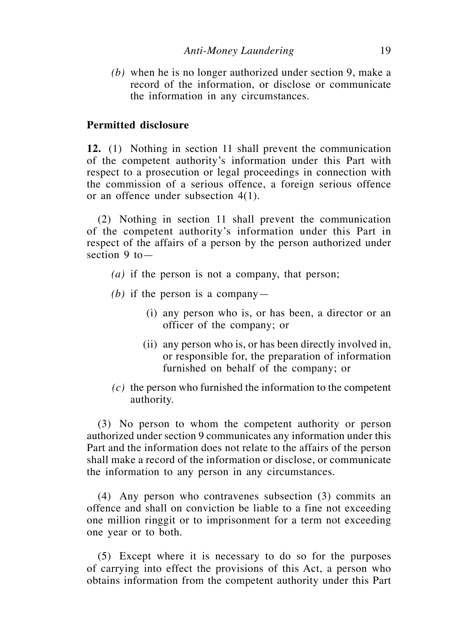*(b)* when he is no longer authorized under section 9, make a record of the information, or disclose or communicate the information in any circumstances.

#### **Permitted disclosure**

**12.** (1) Nothing in section 11 shall prevent the communication of the competent authority's information under this Part with respect to a prosecution or legal proceedings in connection with the commission of a serious offence, a foreign serious offence or an offence under subsection 4(1).

(2) Nothing in section 11 shall prevent the communication of the competent authority's information under this Part in respect of the affairs of a person by the person authorized under section  $9$  to  $-$ 

- *(a)* if the person is not a company, that person;
- *(b)* if the person is a company—
	- (i) any person who is, or has been, a director or an officer of the company; or
	- (ii) any person who is, or has been directly involved in, or responsible for, the preparation of information furnished on behalf of the company; or
- *(c)* the person who furnished the information to the competent authority.

(3) No person to whom the competent authority or person authorized under section 9 communicates any information under this Part and the information does not relate to the affairs of the person shall make a record of the information or disclose, or communicate the information to any person in any circumstances.

(4) Any person who contravenes subsection (3) commits an offence and shall on conviction be liable to a fine not exceeding one million ringgit or to imprisonment for a term not exceeding one year or to both.

(5) Except where it is necessary to do so for the purposes of carrying into effect the provisions of this Act, a person who obtains information from the competent authority under this Part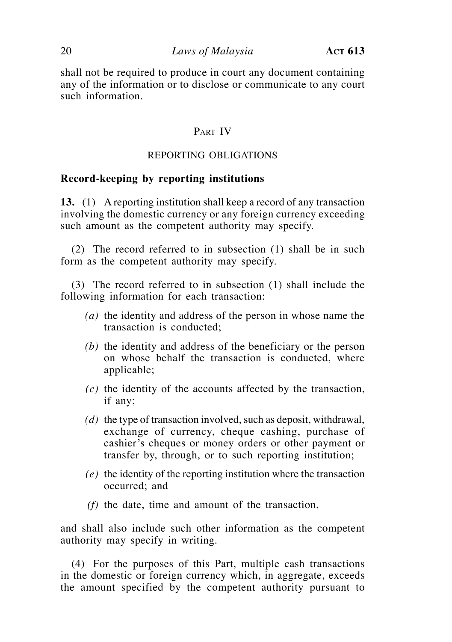shall not be required to produce in court any document containing any of the information or to disclose or communicate to any court such information.

# PART IV

# REPORTING OBLIGATIONS

#### **Record-keeping by reporting institutions**

**13.** (1) A reporting institution shall keep a record of any transaction involving the domestic currency or any foreign currency exceeding such amount as the competent authority may specify.

(2) The record referred to in subsection (1) shall be in such form as the competent authority may specify.

(3) The record referred to in subsection (1) shall include the following information for each transaction:

- *(a)* the identity and address of the person in whose name the transaction is conducted;
- *(b)* the identity and address of the beneficiary or the person on whose behalf the transaction is conducted, where applicable;
- *(c)* the identity of the accounts affected by the transaction, if any;
- *(d)* the type of transaction involved, such as deposit, withdrawal, exchange of currency, cheque cashing, purchase of cashier's cheques or money orders or other payment or transfer by, through, or to such reporting institution;
- *(e)* the identity of the reporting institution where the transaction occurred; and
- *(f)* the date, time and amount of the transaction,

and shall also include such other information as the competent authority may specify in writing.

(4) For the purposes of this Part, multiple cash transactions in the domestic or foreign currency which, in aggregate, exceeds the amount specified by the competent authority pursuant to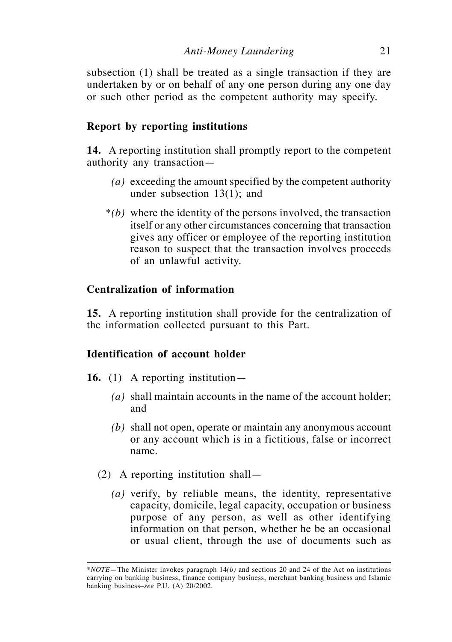subsection (1) shall be treated as a single transaction if they are undertaken by or on behalf of any one person during any one day or such other period as the competent authority may specify.

# **Report by reporting institutions**

**14.** A reporting institution shall promptly report to the competent authority any transaction—

- *(a)* exceeding the amount specified by the competent authority under subsection 13(1); and
- \**(b)* where the identity of the persons involved, the transaction itself or any other circumstances concerning that transaction gives any officer or employee of the reporting institution reason to suspect that the transaction involves proceeds of an unlawful activity.

# **Centralization of information**

**15.** A reporting institution shall provide for the centralization of the information collected pursuant to this Part.

# **Identification of account holder**

- **16.** (1) A reporting institution—
	- *(a)* shall maintain accounts in the name of the account holder; and
	- *(b)* shall not open, operate or maintain any anonymous account or any account which is in a fictitious, false or incorrect name.
	- (2) A reporting institution shall—
		- *(a)* verify, by reliable means, the identity, representative capacity, domicile, legal capacity, occupation or business purpose of any person, as well as other identifying information on that person, whether he be an occasional or usual client, through the use of documents such as

<sup>\*</sup>*NOTE*—The Minister invokes paragraph 14*(b)* and sections 20 and 24 of the Act on institutions carrying on banking business, finance company business, merchant banking business and Islamic banking business–*see* P.U. (A) 20/2002.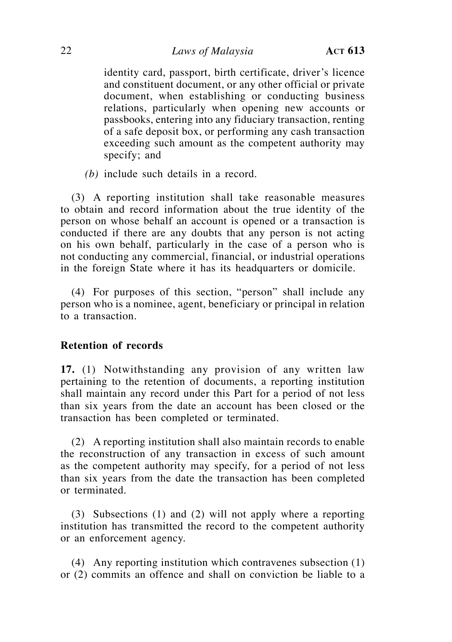identity card, passport, birth certificate, driver's licence and constituent document, or any other official or private document, when establishing or conducting business relations, particularly when opening new accounts or passbooks, entering into any fiduciary transaction, renting of a safe deposit box, or performing any cash transaction exceeding such amount as the competent authority may specify; and

*(b)* include such details in a record.

(3) A reporting institution shall take reasonable measures to obtain and record information about the true identity of the person on whose behalf an account is opened or a transaction is conducted if there are any doubts that any person is not acting on his own behalf, particularly in the case of a person who is not conducting any commercial, financial, or industrial operations in the foreign State where it has its headquarters or domicile.

(4) For purposes of this section, "person" shall include any person who is a nominee, agent, beneficiary or principal in relation to a transaction.

### **Retention of records**

**17.** (1) Notwithstanding any provision of any written law pertaining to the retention of documents, a reporting institution shall maintain any record under this Part for a period of not less than six years from the date an account has been closed or the transaction has been completed or terminated.

(2) A reporting institution shall also maintain records to enable the reconstruction of any transaction in excess of such amount as the competent authority may specify, for a period of not less than six years from the date the transaction has been completed or terminated.

(3) Subsections (1) and (2) will not apply where a reporting institution has transmitted the record to the competent authority or an enforcement agency.

(4) Any reporting institution which contravenes subsection (1) or (2) commits an offence and shall on conviction be liable to a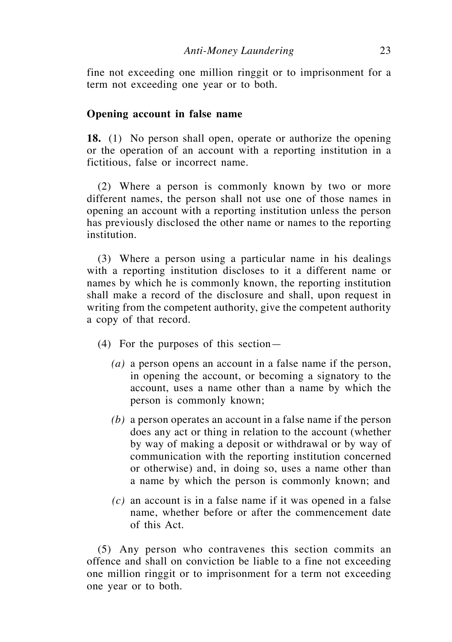fine not exceeding one million ringgit or to imprisonment for a term not exceeding one year or to both.

#### **Opening account in false name**

**18.** (1) No person shall open, operate or authorize the opening or the operation of an account with a reporting institution in a fictitious, false or incorrect name.

(2) Where a person is commonly known by two or more different names, the person shall not use one of those names in opening an account with a reporting institution unless the person has previously disclosed the other name or names to the reporting institution.

(3) Where a person using a particular name in his dealings with a reporting institution discloses to it a different name or names by which he is commonly known, the reporting institution shall make a record of the disclosure and shall, upon request in writing from the competent authority, give the competent authority a copy of that record.

- (4) For the purposes of this section—
	- *(a)* a person opens an account in a false name if the person, in opening the account, or becoming a signatory to the account, uses a name other than a name by which the person is commonly known;
	- *(b)* a person operates an account in a false name if the person does any act or thing in relation to the account (whether by way of making a deposit or withdrawal or by way of communication with the reporting institution concerned or otherwise) and, in doing so, uses a name other than a name by which the person is commonly known; and
	- *(c)* an account is in a false name if it was opened in a false name, whether before or after the commencement date of this Act.

(5) Any person who contravenes this section commits an offence and shall on conviction be liable to a fine not exceeding one million ringgit or to imprisonment for a term not exceeding one year or to both.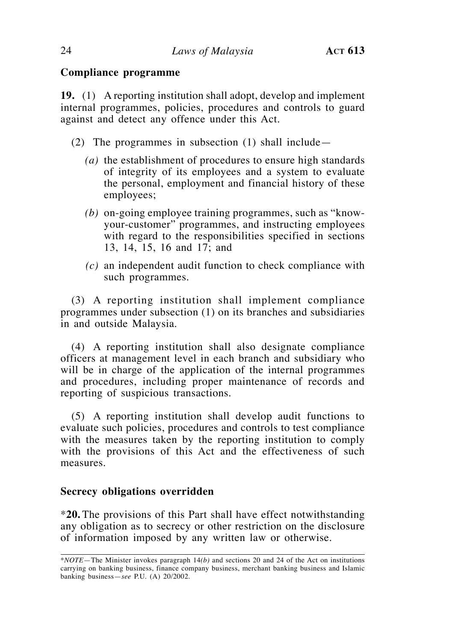# **Compliance programme**

**19.** (1) A reporting institution shall adopt, develop and implement internal programmes, policies, procedures and controls to guard against and detect any offence under this Act.

- (2) The programmes in subsection (1) shall include—
	- *(a)* the establishment of procedures to ensure high standards of integrity of its employees and a system to evaluate the personal, employment and financial history of these employees;
	- *(b)* on-going employee training programmes, such as "knowyour-customer" programmes, and instructing employees with regard to the responsibilities specified in sections 13, 14, 15, 16 and 17; and
	- *(c)* an independent audit function to check compliance with such programmes.

(3) A reporting institution shall implement compliance programmes under subsection (1) on its branches and subsidiaries in and outside Malaysia.

(4) A reporting institution shall also designate compliance officers at management level in each branch and subsidiary who will be in charge of the application of the internal programmes and procedures, including proper maintenance of records and reporting of suspicious transactions.

(5) A reporting institution shall develop audit functions to evaluate such policies, procedures and controls to test compliance with the measures taken by the reporting institution to comply with the provisions of this Act and the effectiveness of such measures.

# **Secrecy obligations overridden**

\***20.** The provisions of this Part shall have effect notwithstanding any obligation as to secrecy or other restriction on the disclosure of information imposed by any written law or otherwise.

<sup>\*</sup>*Note*—The Minister invokes paragraph 14*(b)* and sections 20 and 24 of the Act on institutions carrying on banking business, finance company business, merchant banking business and Islamic banking business—*see* P.U. (A) 20/2002.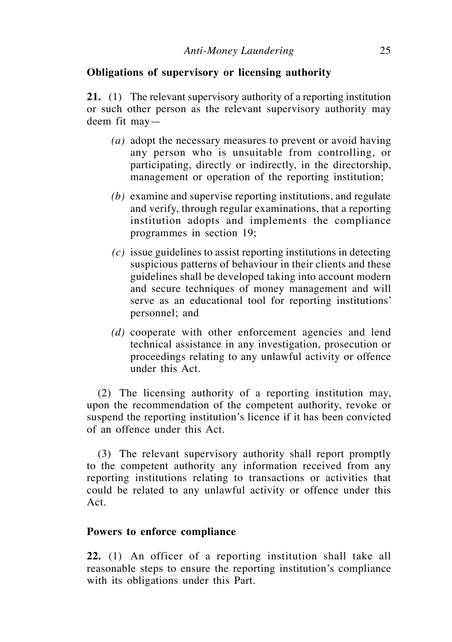# **Obligations of supervisory or licensing authority**

**21.** (1) The relevant supervisory authority of a reporting institution or such other person as the relevant supervisory authority may deem fit may—

- *(a)* adopt the necessary measures to prevent or avoid having any person who is unsuitable from controlling, or participating, directly or indirectly, in the directorship, management or operation of the reporting institution;
- *(b)* examine and supervise reporting institutions, and regulate and verify, through regular examinations, that a reporting institution adopts and implements the compliance programmes in section 19;
- *(c)* issue guidelines to assist reporting institutions in detecting suspicious patterns of behaviour in their clients and these guidelines shall be developed taking into account modern and secure techniques of money management and will serve as an educational tool for reporting institutions' personnel; and
- *(d)* cooperate with other enforcement agencies and lend technical assistance in any investigation, prosecution or proceedings relating to any unlawful activity or offence under this Act.

(2) The licensing authority of a reporting institution may, upon the recommendation of the competent authority, revoke or suspend the reporting institution's licence if it has been convicted of an offence under this Act.

(3) The relevant supervisory authority shall report promptly to the competent authority any information received from any reporting institutions relating to transactions or activities that could be related to any unlawful activity or offence under this Act.

## **Powers to enforce compliance**

**22.** (1) An officer of a reporting institution shall take all reasonable steps to ensure the reporting institution's compliance with its obligations under this Part.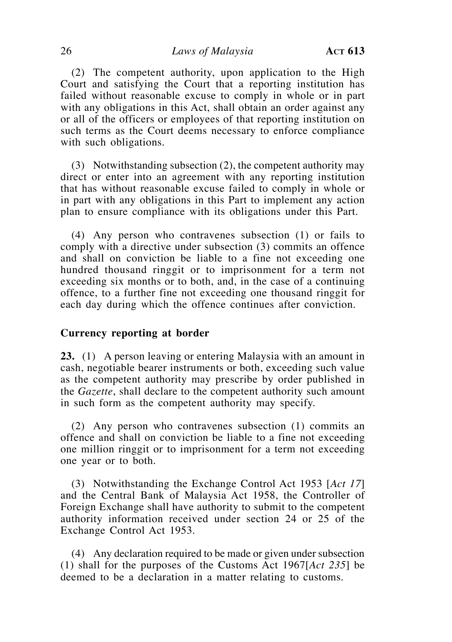(2) The competent authority, upon application to the High Court and satisfying the Court that a reporting institution has failed without reasonable excuse to comply in whole or in part with any obligations in this Act, shall obtain an order against any or all of the officers or employees of that reporting institution on such terms as the Court deems necessary to enforce compliance with such obligations.

(3) Notwithstanding subsection (2), the competent authority may direct or enter into an agreement with any reporting institution that has without reasonable excuse failed to comply in whole or in part with any obligations in this Part to implement any action plan to ensure compliance with its obligations under this Part.

(4) Any person who contravenes subsection (1) or fails to comply with a directive under subsection (3) commits an offence and shall on conviction be liable to a fine not exceeding one hundred thousand ringgit or to imprisonment for a term not exceeding six months or to both, and, in the case of a continuing offence, to a further fine not exceeding one thousand ringgit for each day during which the offence continues after conviction.

### **Currency reporting at border**

**23.** (1) A person leaving or entering Malaysia with an amount in cash, negotiable bearer instruments or both, exceeding such value as the competent authority may prescribe by order published in the *Gazette*, shall declare to the competent authority such amount in such form as the competent authority may specify.

(2) Any person who contravenes subsection (1) commits an offence and shall on conviction be liable to a fine not exceeding one million ringgit or to imprisonment for a term not exceeding one year or to both.

(3) Notwithstanding the Exchange Control Act 1953 [*Act 17*] and the Central Bank of Malaysia Act 1958, the Controller of Foreign Exchange shall have authority to submit to the competent authority information received under section 24 or 25 of the Exchange Control Act 1953.

(4) Any declaration required to be made or given under subsection (1) shall for the purposes of the Customs Act 1967[*Act 235*] be deemed to be a declaration in a matter relating to customs.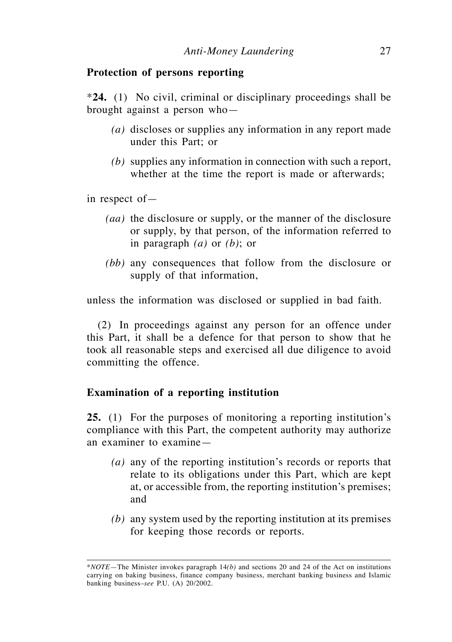#### **Protection of persons reporting**

\***24.** (1) No civil, criminal or disciplinary proceedings shall be brought against a person who—

- *(a)* discloses or supplies any information in any report made under this Part; or
- *(b)* supplies any information in connection with such a report, whether at the time the report is made or afterwards;

in respect of—

- *(aa)* the disclosure or supply, or the manner of the disclosure or supply, by that person, of the information referred to in paragraph *(a)* or *(b)*; or
- *(bb)* any consequences that follow from the disclosure or supply of that information,

unless the information was disclosed or supplied in bad faith.

(2) In proceedings against any person for an offence under this Part, it shall be a defence for that person to show that he took all reasonable steps and exercised all due diligence to avoid committing the offence.

# **Examination of a reporting institution**

**25.** (1) For the purposes of monitoring a reporting institution's compliance with this Part, the competent authority may authorize an examiner to examine—

- *(a)* any of the reporting institution's records or reports that relate to its obligations under this Part, which are kept at, or accessible from, the reporting institution's premises; and
- *(b)* any system used by the reporting institution at its premises for keeping those records or reports.

<sup>\*</sup>*Note*—The Minister invokes paragraph 14*(b)* and sections 20 and 24 of the Act on institutions carrying on baking business, finance company business, merchant banking business and Islamic banking business–*see* P.U. (A) 20/2002.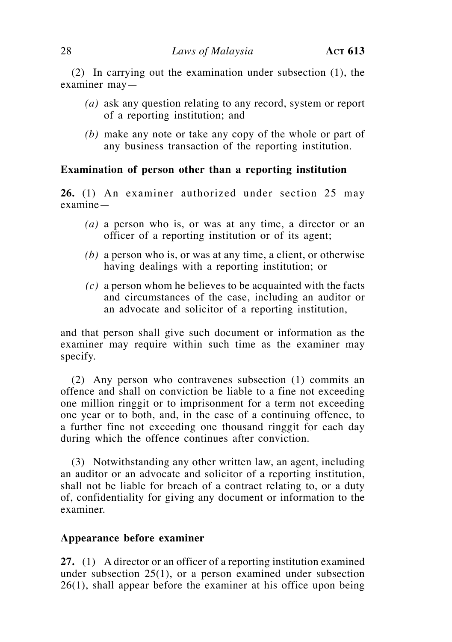(2) In carrying out the examination under subsection (1), the examiner may—

- *(a)* ask any question relating to any record, system or report of a reporting institution; and
- *(b)* make any note or take any copy of the whole or part of any business transaction of the reporting institution.

### **Examination of person other than a reporting institution**

**26.** (1) An examiner authorized under section 25 may examine—

- *(a)* a person who is, or was at any time, a director or an officer of a reporting institution or of its agent;
- *(b)* a person who is, or was at any time, a client, or otherwise having dealings with a reporting institution; or
- *(c)* a person whom he believes to be acquainted with the facts and circumstances of the case, including an auditor or an advocate and solicitor of a reporting institution,

and that person shall give such document or information as the examiner may require within such time as the examiner may specify.

(2) Any person who contravenes subsection (1) commits an offence and shall on conviction be liable to a fine not exceeding one million ringgit or to imprisonment for a term not exceeding one year or to both, and, in the case of a continuing offence, to a further fine not exceeding one thousand ringgit for each day during which the offence continues after conviction.

(3) Notwithstanding any other written law, an agent, including an auditor or an advocate and solicitor of a reporting institution, shall not be liable for breach of a contract relating to, or a duty of, confidentiality for giving any document or information to the examiner.

### **Appearance before examiner**

**27.** (1) A director or an officer of a reporting institution examined under subsection 25(1), or a person examined under subsection 26(1), shall appear before the examiner at his office upon being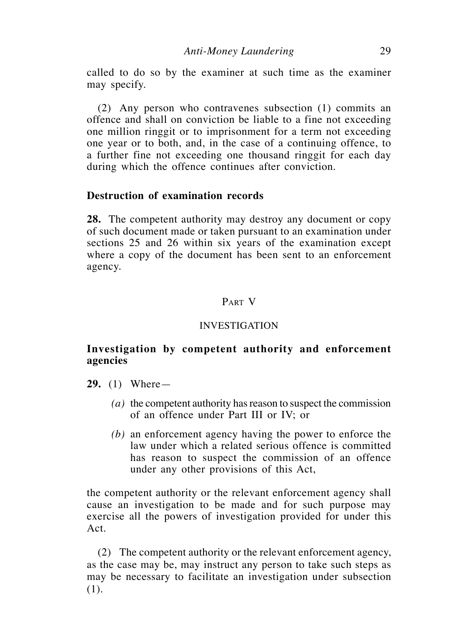called to do so by the examiner at such time as the examiner may specify.

(2) Any person who contravenes subsection (1) commits an offence and shall on conviction be liable to a fine not exceeding one million ringgit or to imprisonment for a term not exceeding one year or to both, and, in the case of a continuing offence, to a further fine not exceeding one thousand ringgit for each day during which the offence continues after conviction.

# **Destruction of examination records**

**28.** The competent authority may destroy any document or copy of such document made or taken pursuant to an examination under sections 25 and 26 within six years of the examination except where a copy of the document has been sent to an enforcement agency.

### Part V

### INVESTIGATION

# **Investigation by competent authority and enforcement agencies**

- **29.** (1) Where—
	- *(a)* the competent authority has reason to suspect the commission of an offence under Part III or IV; or
	- *(b)* an enforcement agency having the power to enforce the law under which a related serious offence is committed has reason to suspect the commission of an offence under any other provisions of this Act,

the competent authority or the relevant enforcement agency shall cause an investigation to be made and for such purpose may exercise all the powers of investigation provided for under this Act.

(2) The competent authority or the relevant enforcement agency, as the case may be, may instruct any person to take such steps as may be necessary to facilitate an investigation under subsection (1).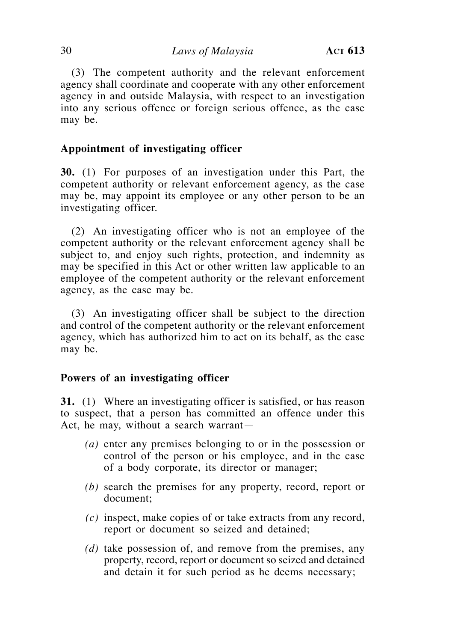(3) The competent authority and the relevant enforcement agency shall coordinate and cooperate with any other enforcement agency in and outside Malaysia, with respect to an investigation into any serious offence or foreign serious offence, as the case may be.

# **Appointment of investigating officer**

**30.** (1) For purposes of an investigation under this Part, the competent authority or relevant enforcement agency, as the case may be, may appoint its employee or any other person to be an investigating officer.

(2) An investigating officer who is not an employee of the competent authority or the relevant enforcement agency shall be subject to, and enjoy such rights, protection, and indemnity as may be specified in this Act or other written law applicable to an employee of the competent authority or the relevant enforcement agency, as the case may be.

(3) An investigating officer shall be subject to the direction and control of the competent authority or the relevant enforcement agency, which has authorized him to act on its behalf, as the case may be.

### **Powers of an investigating officer**

**31.** (1) Where an investigating officer is satisfied, or has reason to suspect, that a person has committed an offence under this Act, he may, without a search warrant—

- *(a)* enter any premises belonging to or in the possession or control of the person or his employee, and in the case of a body corporate, its director or manager;
- *(b)* search the premises for any property, record, report or document;
- *(c)* inspect, make copies of or take extracts from any record, report or document so seized and detained;
- *(d)* take possession of, and remove from the premises, any property, record, report or document so seized and detained and detain it for such period as he deems necessary;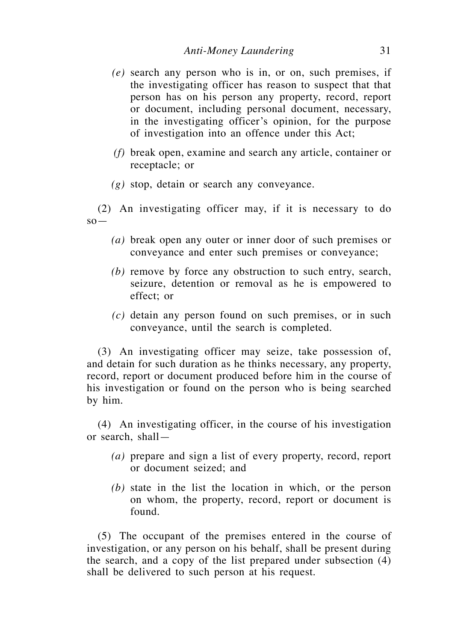- *(e)* search any person who is in, or on, such premises, if the investigating officer has reason to suspect that that person has on his person any property, record, report or document, including personal document, necessary, in the investigating officer's opinion, for the purpose of investigation into an offence under this Act;
- *(f)* break open, examine and search any article, container or receptacle; or
- *(g)* stop, detain or search any conveyance.

(2) An investigating officer may, if it is necessary to do  $SO-$ 

- *(a)* break open any outer or inner door of such premises or conveyance and enter such premises or conveyance;
- *(b)* remove by force any obstruction to such entry, search, seizure, detention or removal as he is empowered to effect; or
- *(c)* detain any person found on such premises, or in such conveyance, until the search is completed.

(3) An investigating officer may seize, take possession of, and detain for such duration as he thinks necessary, any property, record, report or document produced before him in the course of his investigation or found on the person who is being searched by him.

(4) An investigating officer, in the course of his investigation or search, shall—

- *(a)* prepare and sign a list of every property, record, report or document seized; and
- *(b)* state in the list the location in which, or the person on whom, the property, record, report or document is found.

(5) The occupant of the premises entered in the course of investigation, or any person on his behalf, shall be present during the search, and a copy of the list prepared under subsection (4) shall be delivered to such person at his request.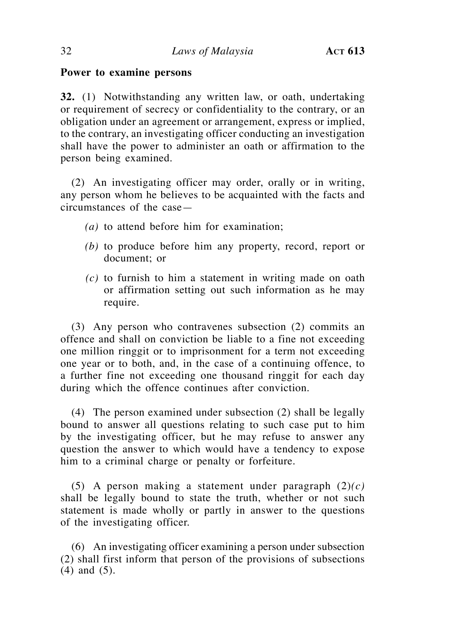# **Power to examine persons**

**32.** (1) Notwithstanding any written law, or oath, undertaking or requirement of secrecy or confidentiality to the contrary, or an obligation under an agreement or arrangement, express or implied, to the contrary, an investigating officer conducting an investigation shall have the power to administer an oath or affirmation to the person being examined.

(2) An investigating officer may order, orally or in writing, any person whom he believes to be acquainted with the facts and circumstances of the case—

- *(a)* to attend before him for examination;
- *(b)* to produce before him any property, record, report or document; or
- *(c)* to furnish to him a statement in writing made on oath or affirmation setting out such information as he may require.

(3) Any person who contravenes subsection (2) commits an offence and shall on conviction be liable to a fine not exceeding one million ringgit or to imprisonment for a term not exceeding one year or to both, and, in the case of a continuing offence, to a further fine not exceeding one thousand ringgit for each day during which the offence continues after conviction.

(4) The person examined under subsection (2) shall be legally bound to answer all questions relating to such case put to him by the investigating officer, but he may refuse to answer any question the answer to which would have a tendency to expose him to a criminal charge or penalty or forfeiture.

(5) A person making a statement under paragraph (2)*(c)*  shall be legally bound to state the truth, whether or not such statement is made wholly or partly in answer to the questions of the investigating officer.

(6) An investigating officer examining a person under subsection (2) shall first inform that person of the provisions of subsections (4) and (5).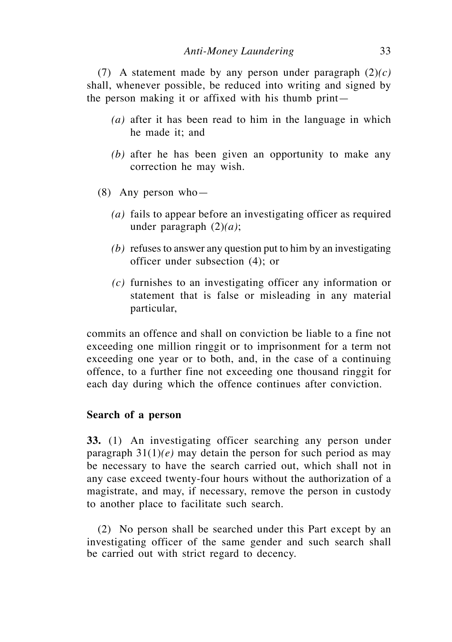(7) A statement made by any person under paragraph (2)*(c)* shall, whenever possible, be reduced into writing and signed by the person making it or affixed with his thumb print—

- *(a)* after it has been read to him in the language in which he made it; and
- *(b)* after he has been given an opportunity to make any correction he may wish.
- (8) Any person who—
	- *(a)* fails to appear before an investigating officer as required under paragraph (2)*(a)*;
	- *(b)* refuses to answer any question put to him by an investigating officer under subsection (4); or
	- *(c)* furnishes to an investigating officer any information or statement that is false or misleading in any material particular,

commits an offence and shall on conviction be liable to a fine not exceeding one million ringgit or to imprisonment for a term not exceeding one year or to both, and, in the case of a continuing offence, to a further fine not exceeding one thousand ringgit for each day during which the offence continues after conviction.

### **Search of a person**

**33.** (1) An investigating officer searching any person under paragraph 31(1)*(e)* may detain the person for such period as may be necessary to have the search carried out, which shall not in any case exceed twenty-four hours without the authorization of a magistrate, and may, if necessary, remove the person in custody to another place to facilitate such search.

(2) No person shall be searched under this Part except by an investigating officer of the same gender and such search shall be carried out with strict regard to decency.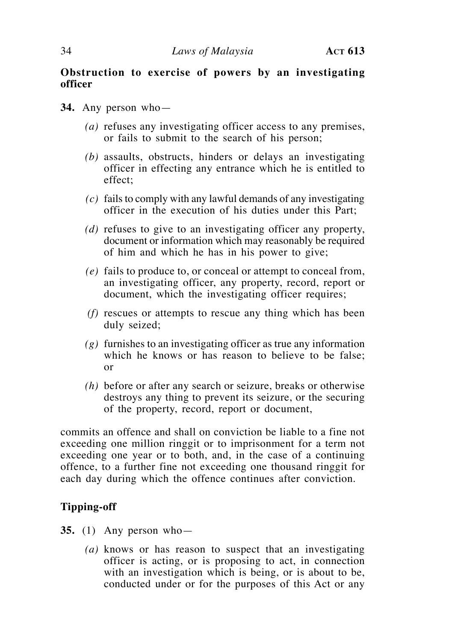# **Obstruction to exercise of powers by an investigating officer**

- **34.** Any person who—
	- *(a)* refuses any investigating officer access to any premises, or fails to submit to the search of his person;
	- *(b)* assaults, obstructs, hinders or delays an investigating officer in effecting any entrance which he is entitled to effect;
	- *(c)* fails to comply with any lawful demands of any investigating officer in the execution of his duties under this Part;
	- *(d)* refuses to give to an investigating officer any property, document or information which may reasonably be required of him and which he has in his power to give;
	- *(e)* fails to produce to, or conceal or attempt to conceal from, an investigating officer, any property, record, report or document, which the investigating officer requires;
	- *(f)* rescues or attempts to rescue any thing which has been duly seized;
	- *(g)* furnishes to an investigating officer as true any information which he knows or has reason to believe to be false: or
	- *(h)* before or after any search or seizure, breaks or otherwise destroys any thing to prevent its seizure, or the securing of the property, record, report or document,

commits an offence and shall on conviction be liable to a fine not exceeding one million ringgit or to imprisonment for a term not exceeding one year or to both, and, in the case of a continuing offence, to a further fine not exceeding one thousand ringgit for each day during which the offence continues after conviction.

# **Tipping-off**

- **35.** (1) Any person who—
	- *(a)* knows or has reason to suspect that an investigating officer is acting, or is proposing to act, in connection with an investigation which is being, or is about to be, conducted under or for the purposes of this Act or any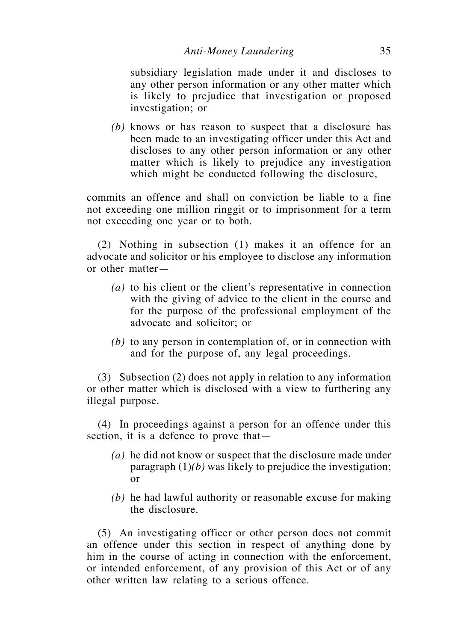subsidiary legislation made under it and discloses to any other person information or any other matter which is likely to prejudice that investigation or proposed investigation; or

*(b)* knows or has reason to suspect that a disclosure has been made to an investigating officer under this Act and discloses to any other person information or any other matter which is likely to prejudice any investigation which might be conducted following the disclosure,

commits an offence and shall on conviction be liable to a fine not exceeding one million ringgit or to imprisonment for a term not exceeding one year or to both.

(2) Nothing in subsection (1) makes it an offence for an advocate and solicitor or his employee to disclose any information or other matter—

- *(a)* to his client or the client's representative in connection with the giving of advice to the client in the course and for the purpose of the professional employment of the advocate and solicitor; or
- *(b)* to any person in contemplation of, or in connection with and for the purpose of, any legal proceedings.

(3) Subsection (2) does not apply in relation to any information or other matter which is disclosed with a view to furthering any illegal purpose.

(4) In proceedings against a person for an offence under this section, it is a defence to prove that—

- *(a)* he did not know or suspect that the disclosure made under paragraph (1)*(b)* was likely to prejudice the investigation; or
- *(b)* he had lawful authority or reasonable excuse for making the disclosure.

(5) An investigating officer or other person does not commit an offence under this section in respect of anything done by him in the course of acting in connection with the enforcement, or intended enforcement, of any provision of this Act or of any other written law relating to a serious offence.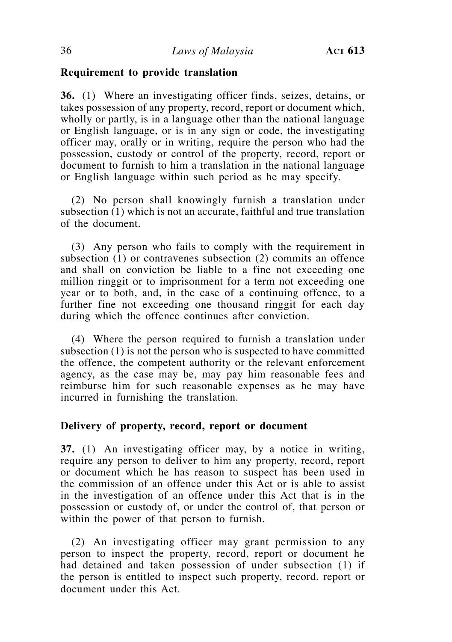# **Requirement to provide translation**

**36.** (1) Where an investigating officer finds, seizes, detains, or takes possession of any property, record, report or document which, wholly or partly, is in a language other than the national language or English language, or is in any sign or code, the investigating officer may, orally or in writing, require the person who had the possession, custody or control of the property, record, report or document to furnish to him a translation in the national language or English language within such period as he may specify.

(2) No person shall knowingly furnish a translation under subsection (1) which is not an accurate, faithful and true translation of the document.

(3) Any person who fails to comply with the requirement in subsection (1) or contravenes subsection (2) commits an offence and shall on conviction be liable to a fine not exceeding one million ringgit or to imprisonment for a term not exceeding one year or to both, and, in the case of a continuing offence, to a further fine not exceeding one thousand ringgit for each day during which the offence continues after conviction.

(4) Where the person required to furnish a translation under subsection (1) is not the person who is suspected to have committed the offence, the competent authority or the relevant enforcement agency, as the case may be, may pay him reasonable fees and reimburse him for such reasonable expenses as he may have incurred in furnishing the translation.

### **Delivery of property, record, report or document**

**37.** (1) An investigating officer may, by a notice in writing, require any person to deliver to him any property, record, report or document which he has reason to suspect has been used in the commission of an offence under this Act or is able to assist in the investigation of an offence under this Act that is in the possession or custody of, or under the control of, that person or within the power of that person to furnish.

(2) An investigating officer may grant permission to any person to inspect the property, record, report or document he had detained and taken possession of under subsection (1) if the person is entitled to inspect such property, record, report or document under this Act.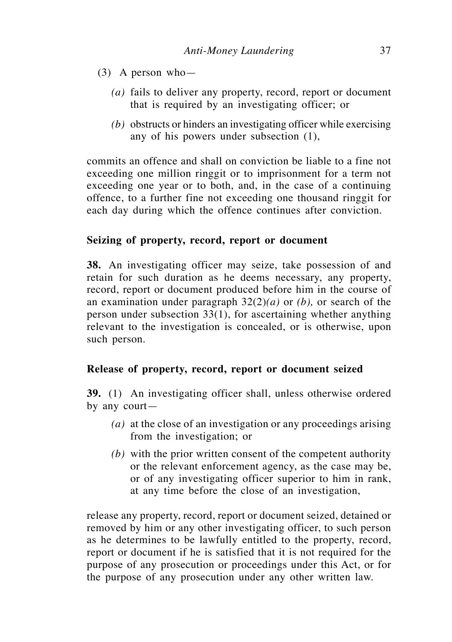- (3) A person who—
	- *(a)* fails to deliver any property, record, report or document that is required by an investigating officer; or
	- *(b)* obstructs or hinders an investigating officer while exercising any of his powers under subsection (1),

commits an offence and shall on conviction be liable to a fine not exceeding one million ringgit or to imprisonment for a term not exceeding one year or to both, and, in the case of a continuing offence, to a further fine not exceeding one thousand ringgit for each day during which the offence continues after conviction.

# **Seizing of property, record, report or document**

**38.** An investigating officer may seize, take possession of and retain for such duration as he deems necessary, any property, record, report or document produced before him in the course of an examination under paragraph 32(2)*(a)* or *(b),* or search of the person under subsection 33(1), for ascertaining whether anything relevant to the investigation is concealed, or is otherwise, upon such person.

## **Release of property, record, report or document seized**

**39.** (1) An investigating officer shall, unless otherwise ordered by any court—

- *(a)* at the close of an investigation or any proceedings arising from the investigation; or
- *(b)* with the prior written consent of the competent authority or the relevant enforcement agency, as the case may be, or of any investigating officer superior to him in rank, at any time before the close of an investigation,

release any property, record, report or document seized, detained or removed by him or any other investigating officer, to such person as he determines to be lawfully entitled to the property, record, report or document if he is satisfied that it is not required for the purpose of any prosecution or proceedings under this Act, or for the purpose of any prosecution under any other written law.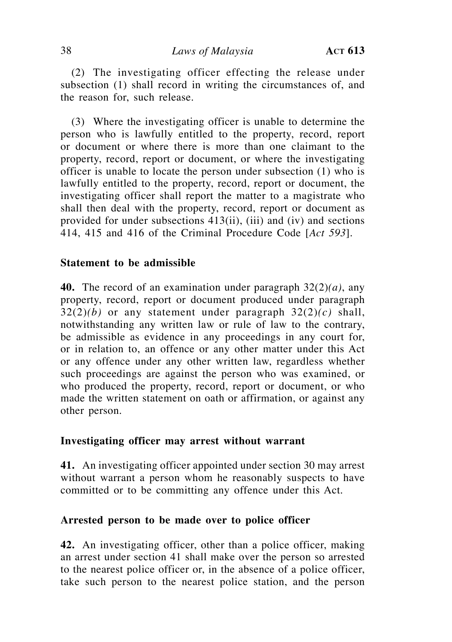(2) The investigating officer effecting the release under subsection (1) shall record in writing the circumstances of, and the reason for, such release.

(3) Where the investigating officer is unable to determine the person who is lawfully entitled to the property, record, report or document or where there is more than one claimant to the property, record, report or document, or where the investigating officer is unable to locate the person under subsection (1) who is lawfully entitled to the property, record, report or document, the investigating officer shall report the matter to a magistrate who shall then deal with the property, record, report or document as provided for under subsections 413(ii), (iii) and (iv) and sections 414, 415 and 416 of the Criminal Procedure Code [*Act 593*].

### **Statement to be admissible**

**40.** The record of an examination under paragraph 32(2)*(a)*, any property, record, report or document produced under paragraph 32(2)*(b)* or any statement under paragraph 32(2)*(c)* shall, notwithstanding any written law or rule of law to the contrary, be admissible as evidence in any proceedings in any court for, or in relation to, an offence or any other matter under this Act or any offence under any other written law, regardless whether such proceedings are against the person who was examined, or who produced the property, record, report or document, or who made the written statement on oath or affirmation, or against any other person.

# **Investigating officer may arrest without warrant**

**41.** An investigating officer appointed under section 30 may arrest without warrant a person whom he reasonably suspects to have committed or to be committing any offence under this Act.

### **Arrested person to be made over to police officer**

**42.** An investigating officer, other than a police officer, making an arrest under section 41 shall make over the person so arrested to the nearest police officer or, in the absence of a police officer, take such person to the nearest police station, and the person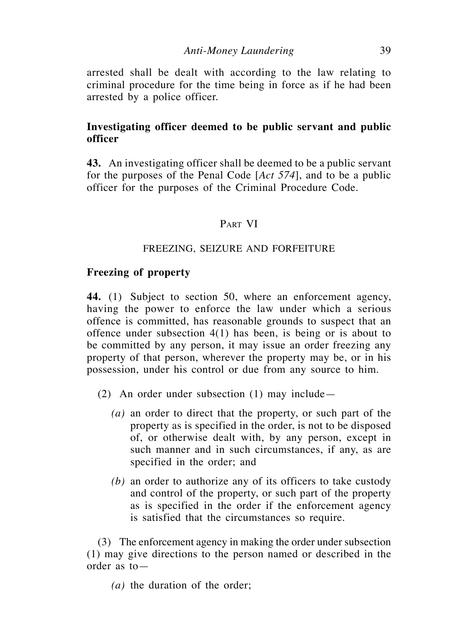arrested shall be dealt with according to the law relating to criminal procedure for the time being in force as if he had been arrested by a police officer.

# **Investigating officer deemed to be public servant and public officer**

**43.** An investigating officer shall be deemed to be a public servant for the purposes of the Penal Code [*Act 574*], and to be a public officer for the purposes of the Criminal Procedure Code.

## PART VI

## FREEZING, SEIZURE AND FORFEITURE

### **Freezing of property**

**44.** (1) Subject to section 50, where an enforcement agency, having the power to enforce the law under which a serious offence is committed, has reasonable grounds to suspect that an offence under subsection 4(1) has been, is being or is about to be committed by any person, it may issue an order freezing any property of that person, wherever the property may be, or in his possession, under his control or due from any source to him.

- (2) An order under subsection (1) may include—
	- *(a)* an order to direct that the property, or such part of the property as is specified in the order, is not to be disposed of, or otherwise dealt with, by any person, except in such manner and in such circumstances, if any, as are specified in the order; and
	- *(b)* an order to authorize any of its officers to take custody and control of the property, or such part of the property as is specified in the order if the enforcement agency is satisfied that the circumstances so require.

(3) The enforcement agency in making the order under subsection (1) may give directions to the person named or described in the order as to—

*(a)* the duration of the order;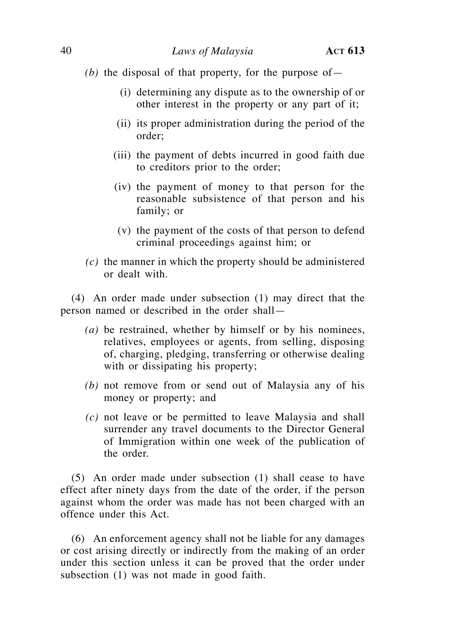*(b)* the disposal of that property, for the purpose of  $-$ 

- (i) determining any dispute as to the ownership of or other interest in the property or any part of it;
- (ii) its proper administration during the period of the order;
- (iii) the payment of debts incurred in good faith due to creditors prior to the order;
- (iv) the payment of money to that person for the reasonable subsistence of that person and his family; or
- (v) the payment of the costs of that person to defend criminal proceedings against him; or
- *(c)* the manner in which the property should be administered or dealt with.

(4) An order made under subsection (1) may direct that the person named or described in the order shall—

- *(a)* be restrained, whether by himself or by his nominees, relatives, employees or agents, from selling, disposing of, charging, pledging, transferring or otherwise dealing with or dissipating his property;
- *(b)* not remove from or send out of Malaysia any of his money or property; and
- *(c)* not leave or be permitted to leave Malaysia and shall surrender any travel documents to the Director General of Immigration within one week of the publication of the order.

(5) An order made under subsection (1) shall cease to have effect after ninety days from the date of the order, if the person against whom the order was made has not been charged with an offence under this Act.

(6) An enforcement agency shall not be liable for any damages or cost arising directly or indirectly from the making of an order under this section unless it can be proved that the order under subsection (1) was not made in good faith.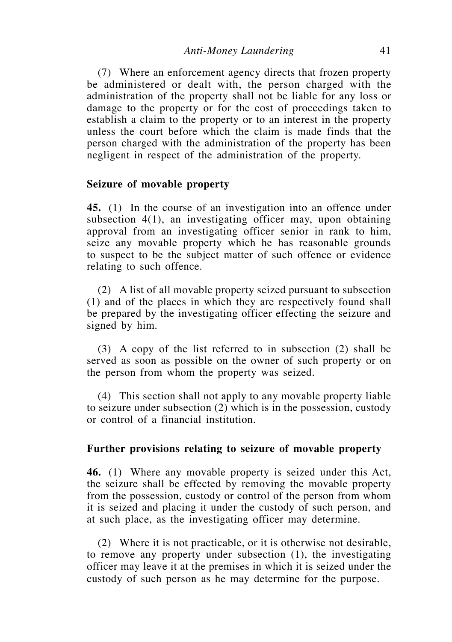(7) Where an enforcement agency directs that frozen property be administered or dealt with, the person charged with the administration of the property shall not be liable for any loss or damage to the property or for the cost of proceedings taken to establish a claim to the property or to an interest in the property unless the court before which the claim is made finds that the person charged with the administration of the property has been negligent in respect of the administration of the property.

### **Seizure of movable property**

**45.** (1) In the course of an investigation into an offence under subsection 4(1), an investigating officer may, upon obtaining approval from an investigating officer senior in rank to him, seize any movable property which he has reasonable grounds to suspect to be the subject matter of such offence or evidence relating to such offence.

(2) A list of all movable property seized pursuant to subsection (1) and of the places in which they are respectively found shall be prepared by the investigating officer effecting the seizure and signed by him.

(3) A copy of the list referred to in subsection (2) shall be served as soon as possible on the owner of such property or on the person from whom the property was seized.

(4) This section shall not apply to any movable property liable to seizure under subsection (2) which is in the possession, custody or control of a financial institution.

#### **Further provisions relating to seizure of movable property**

**46.** (1) Where any movable property is seized under this Act, the seizure shall be effected by removing the movable property from the possession, custody or control of the person from whom it is seized and placing it under the custody of such person, and at such place, as the investigating officer may determine.

(2) Where it is not practicable, or it is otherwise not desirable, to remove any property under subsection (1), the investigating officer may leave it at the premises in which it is seized under the custody of such person as he may determine for the purpose.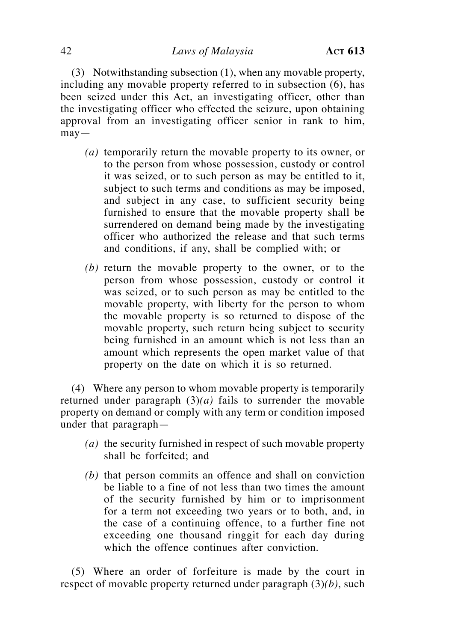(3) Notwithstanding subsection (1), when any movable property, including any movable property referred to in subsection (6), has been seized under this Act, an investigating officer, other than the investigating officer who effected the seizure, upon obtaining approval from an investigating officer senior in rank to him,  $may -$ 

- *(a)* temporarily return the movable property to its owner, or to the person from whose possession, custody or control it was seized, or to such person as may be entitled to it, subject to such terms and conditions as may be imposed, and subject in any case, to sufficient security being furnished to ensure that the movable property shall be surrendered on demand being made by the investigating officer who authorized the release and that such terms and conditions, if any, shall be complied with; or
- *(b)* return the movable property to the owner, or to the person from whose possession, custody or control it was seized, or to such person as may be entitled to the movable property, with liberty for the person to whom the movable property is so returned to dispose of the movable property, such return being subject to security being furnished in an amount which is not less than an amount which represents the open market value of that property on the date on which it is so returned.

(4) Where any person to whom movable property is temporarily returned under paragraph  $(3)(a)$  fails to surrender the movable property on demand or comply with any term or condition imposed under that paragraph—

- *(a)* the security furnished in respect of such movable property shall be forfeited; and
- *(b)* that person commits an offence and shall on conviction be liable to a fine of not less than two times the amount of the security furnished by him or to imprisonment for a term not exceeding two years or to both, and, in the case of a continuing offence, to a further fine not exceeding one thousand ringgit for each day during which the offence continues after conviction.

(5) Where an order of forfeiture is made by the court in respect of movable property returned under paragraph (3)*(b)*, such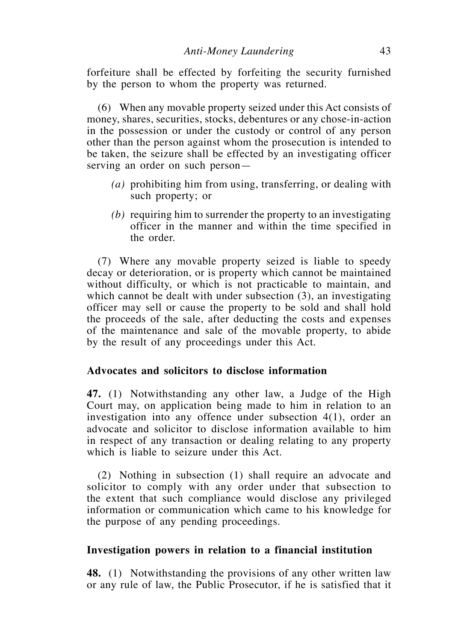forfeiture shall be effected by forfeiting the security furnished by the person to whom the property was returned.

(6) When any movable property seized under this Act consists of money, shares, securities, stocks, debentures or any chose-in-action in the possession or under the custody or control of any person other than the person against whom the prosecution is intended to be taken, the seizure shall be effected by an investigating officer serving an order on such person—

- *(a)* prohibiting him from using, transferring, or dealing with such property; or
- *(b)* requiring him to surrender the property to an investigating officer in the manner and within the time specified in the order.

(7) Where any movable property seized is liable to speedy decay or deterioration, or is property which cannot be maintained without difficulty, or which is not practicable to maintain, and which cannot be dealt with under subsection (3), an investigating officer may sell or cause the property to be sold and shall hold the proceeds of the sale, after deducting the costs and expenses of the maintenance and sale of the movable property, to abide by the result of any proceedings under this Act.

## **Advocates and solicitors to disclose information**

**47.** (1) Notwithstanding any other law, a Judge of the High Court may, on application being made to him in relation to an investigation into any offence under subsection 4(1), order an advocate and solicitor to disclose information available to him in respect of any transaction or dealing relating to any property which is liable to seizure under this Act.

(2) Nothing in subsection (1) shall require an advocate and solicitor to comply with any order under that subsection to the extent that such compliance would disclose any privileged information or communication which came to his knowledge for the purpose of any pending proceedings.

## **Investigation powers in relation to a financial institution**

**48.** (1) Notwithstanding the provisions of any other written law or any rule of law, the Public Prosecutor, if he is satisfied that it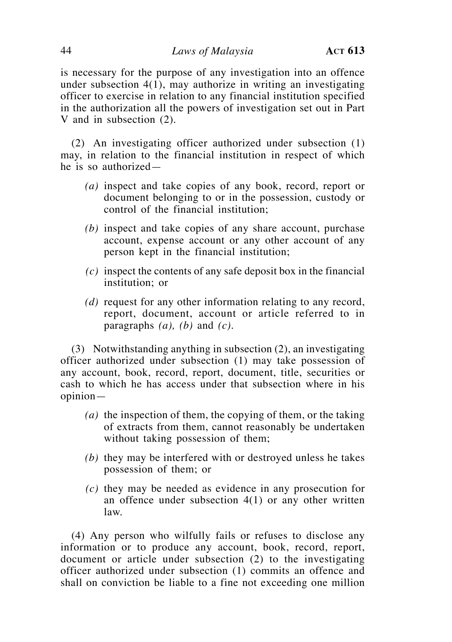is necessary for the purpose of any investigation into an offence under subsection 4(1), may authorize in writing an investigating officer to exercise in relation to any financial institution specified in the authorization all the powers of investigation set out in Part V and in subsection (2).

(2) An investigating officer authorized under subsection (1) may, in relation to the financial institution in respect of which he is so authorized—

- *(a)* inspect and take copies of any book, record, report or document belonging to or in the possession, custody or control of the financial institution;
- *(b)* inspect and take copies of any share account, purchase account, expense account or any other account of any person kept in the financial institution;
- *(c)* inspect the contents of any safe deposit box in the financial institution; or
- *(d)* request for any other information relating to any record, report, document, account or article referred to in paragraphs *(a), (b)* and *(c)*.

(3) Notwithstanding anything in subsection (2), an investigating officer authorized under subsection (1) may take possession of any account, book, record, report, document, title, securities or cash to which he has access under that subsection where in his opinion—

- *(a)* the inspection of them, the copying of them, or the taking of extracts from them, cannot reasonably be undertaken without taking possession of them;
- *(b)* they may be interfered with or destroyed unless he takes possession of them; or
- *(c)* they may be needed as evidence in any prosecution for an offence under subsection  $4(1)$  or any other written law.

(4) Any person who wilfully fails or refuses to disclose any information or to produce any account, book, record, report, document or article under subsection (2) to the investigating officer authorized under subsection (1) commits an offence and shall on conviction be liable to a fine not exceeding one million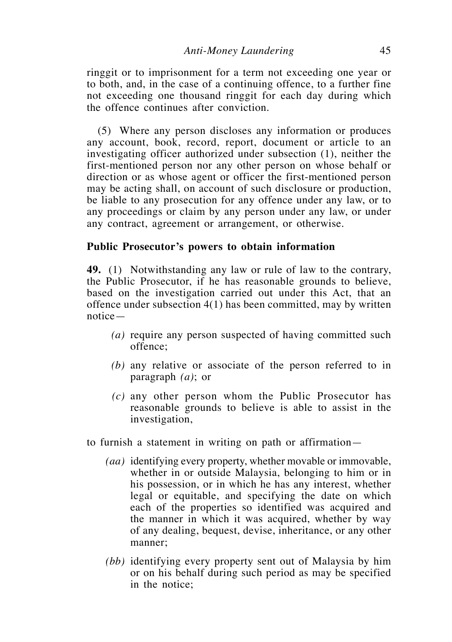ringgit or to imprisonment for a term not exceeding one year or to both, and, in the case of a continuing offence, to a further fine not exceeding one thousand ringgit for each day during which the offence continues after conviction.

(5) Where any person discloses any information or produces any account, book, record, report, document or article to an investigating officer authorized under subsection (1), neither the first-mentioned person nor any other person on whose behalf or direction or as whose agent or officer the first-mentioned person may be acting shall, on account of such disclosure or production, be liable to any prosecution for any offence under any law, or to any proceedings or claim by any person under any law, or under any contract, agreement or arrangement, or otherwise.

#### **Public Prosecutor's powers to obtain information**

**49.** (1) Notwithstanding any law or rule of law to the contrary, the Public Prosecutor, if he has reasonable grounds to believe, based on the investigation carried out under this Act, that an offence under subsection 4(1) has been committed, may by written notice—

- *(a)* require any person suspected of having committed such offence;
- *(b)* any relative or associate of the person referred to in paragraph *(a)*; or
- *(c)* any other person whom the Public Prosecutor has reasonable grounds to believe is able to assist in the investigation,

to furnish a statement in writing on path or affirmation—

- *(aa)* identifying every property, whether movable or immovable, whether in or outside Malaysia, belonging to him or in his possession, or in which he has any interest, whether legal or equitable, and specifying the date on which each of the properties so identified was acquired and the manner in which it was acquired, whether by way of any dealing, bequest, devise, inheritance, or any other manner;
- *(bb)* identifying every property sent out of Malaysia by him or on his behalf during such period as may be specified in the notice;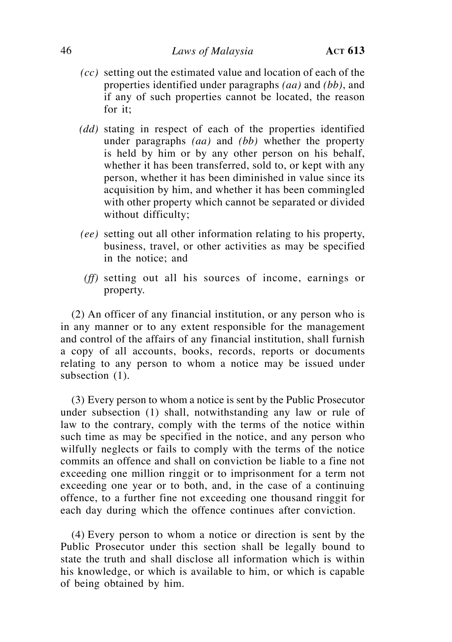- *(cc)* setting out the estimated value and location of each of the properties identified under paragraphs *(aa)* and *(bb)*, and if any of such properties cannot be located, the reason for it;
- *(dd)* stating in respect of each of the properties identified under paragraphs *(aa)* and *(bb)* whether the property is held by him or by any other person on his behalf, whether it has been transferred, sold to, or kept with any person, whether it has been diminished in value since its acquisition by him, and whether it has been commingled with other property which cannot be separated or divided without difficulty;
- *(ee)* setting out all other information relating to his property, business, travel, or other activities as may be specified in the notice; and
- *(ff)* setting out all his sources of income, earnings or property.

(2) An officer of any financial institution, or any person who is in any manner or to any extent responsible for the management and control of the affairs of any financial institution, shall furnish a copy of all accounts, books, records, reports or documents relating to any person to whom a notice may be issued under subsection  $(1)$ .

(3) Every person to whom a notice is sent by the Public Prosecutor under subsection (1) shall, notwithstanding any law or rule of law to the contrary, comply with the terms of the notice within such time as may be specified in the notice, and any person who wilfully neglects or fails to comply with the terms of the notice commits an offence and shall on conviction be liable to a fine not exceeding one million ringgit or to imprisonment for a term not exceeding one year or to both, and, in the case of a continuing offence, to a further fine not exceeding one thousand ringgit for each day during which the offence continues after conviction.

(4) Every person to whom a notice or direction is sent by the Public Prosecutor under this section shall be legally bound to state the truth and shall disclose all information which is within his knowledge, or which is available to him, or which is capable of being obtained by him.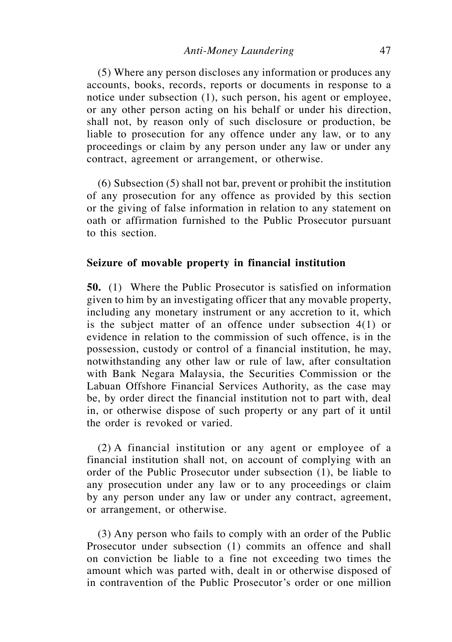(5) Where any person discloses any information or produces any accounts, books, records, reports or documents in response to a notice under subsection (1), such person, his agent or employee, or any other person acting on his behalf or under his direction, shall not, by reason only of such disclosure or production, be liable to prosecution for any offence under any law, or to any proceedings or claim by any person under any law or under any contract, agreement or arrangement, or otherwise.

(6) Subsection (5) shall not bar, prevent or prohibit the institution of any prosecution for any offence as provided by this section or the giving of false information in relation to any statement on oath or affirmation furnished to the Public Prosecutor pursuant to this section.

### **Seizure of movable property in financial institution**

**50.** (1) Where the Public Prosecutor is satisfied on information given to him by an investigating officer that any movable property, including any monetary instrument or any accretion to it, which is the subject matter of an offence under subsection 4(1) or evidence in relation to the commission of such offence, is in the possession, custody or control of a financial institution, he may, notwithstanding any other law or rule of law, after consultation with Bank Negara Malaysia, the Securities Commission or the Labuan Offshore Financial Services Authority, as the case may be, by order direct the financial institution not to part with, deal in, or otherwise dispose of such property or any part of it until the order is revoked or varied.

(2) A financial institution or any agent or employee of a financial institution shall not, on account of complying with an order of the Public Prosecutor under subsection (1), be liable to any prosecution under any law or to any proceedings or claim by any person under any law or under any contract, agreement, or arrangement, or otherwise.

(3) Any person who fails to comply with an order of the Public Prosecutor under subsection (1) commits an offence and shall on conviction be liable to a fine not exceeding two times the amount which was parted with, dealt in or otherwise disposed of in contravention of the Public Prosecutor's order or one million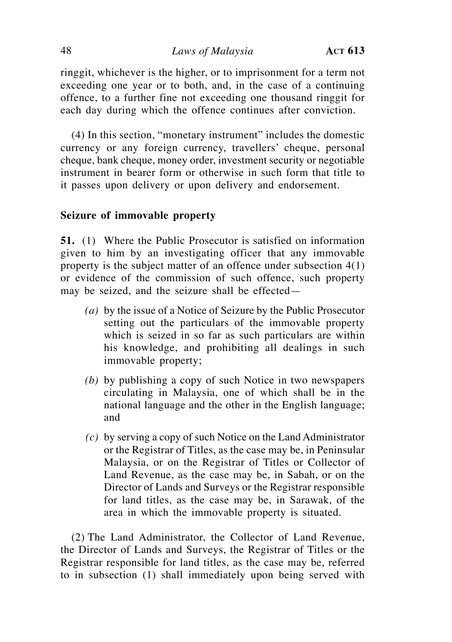### 48 *Laws of Malaysia* **Act 613**

ringgit, whichever is the higher, or to imprisonment for a term not exceeding one year or to both, and, in the case of a continuing offence, to a further fine not exceeding one thousand ringgit for each day during which the offence continues after conviction.

(4) In this section, "monetary instrument" includes the domestic currency or any foreign currency, travellers' cheque, personal cheque, bank cheque, money order, investment security or negotiable instrument in bearer form or otherwise in such form that title to it passes upon delivery or upon delivery and endorsement.

### **Seizure of immovable property**

**51.** (1) Where the Public Prosecutor is satisfied on information given to him by an investigating officer that any immovable property is the subject matter of an offence under subsection 4(1) or evidence of the commission of such offence, such property may be seized, and the seizure shall be effected—

- *(a)* by the issue of a Notice of Seizure by the Public Prosecutor setting out the particulars of the immovable property which is seized in so far as such particulars are within his knowledge, and prohibiting all dealings in such immovable property;
- *(b)* by publishing a copy of such Notice in two newspapers circulating in Malaysia, one of which shall be in the national language and the other in the English language; and
- *(c)* by serving a copy of such Notice on the Land Administrator or the Registrar of Titles, as the case may be, in Peninsular Malaysia, or on the Registrar of Titles or Collector of Land Revenue, as the case may be, in Sabah, or on the Director of Lands and Surveys or the Registrar responsible for land titles, as the case may be, in Sarawak, of the area in which the immovable property is situated.

(2) The Land Administrator, the Collector of Land Revenue, the Director of Lands and Surveys, the Registrar of Titles or the Registrar responsible for land titles, as the case may be, referred to in subsection (1) shall immediately upon being served with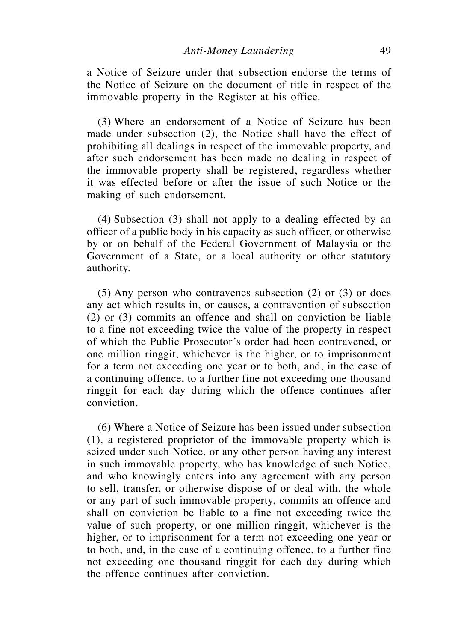a Notice of Seizure under that subsection endorse the terms of the Notice of Seizure on the document of title in respect of the immovable property in the Register at his office.

(3) Where an endorsement of a Notice of Seizure has been made under subsection (2), the Notice shall have the effect of prohibiting all dealings in respect of the immovable property, and after such endorsement has been made no dealing in respect of the immovable property shall be registered, regardless whether it was effected before or after the issue of such Notice or the making of such endorsement.

(4) Subsection (3) shall not apply to a dealing effected by an officer of a public body in his capacity as such officer, or otherwise by or on behalf of the Federal Government of Malaysia or the Government of a State, or a local authority or other statutory authority.

(5) Any person who contravenes subsection (2) or (3) or does any act which results in, or causes, a contravention of subsection (2) or (3) commits an offence and shall on conviction be liable to a fine not exceeding twice the value of the property in respect of which the Public Prosecutor's order had been contravened, or one million ringgit, whichever is the higher, or to imprisonment for a term not exceeding one year or to both, and, in the case of a continuing offence, to a further fine not exceeding one thousand ringgit for each day during which the offence continues after conviction.

(6) Where a Notice of Seizure has been issued under subsection (1), a registered proprietor of the immovable property which is seized under such Notice, or any other person having any interest in such immovable property, who has knowledge of such Notice, and who knowingly enters into any agreement with any person to sell, transfer, or otherwise dispose of or deal with, the whole or any part of such immovable property, commits an offence and shall on conviction be liable to a fine not exceeding twice the value of such property, or one million ringgit, whichever is the higher, or to imprisonment for a term not exceeding one year or to both, and, in the case of a continuing offence, to a further fine not exceeding one thousand ringgit for each day during which the offence continues after conviction.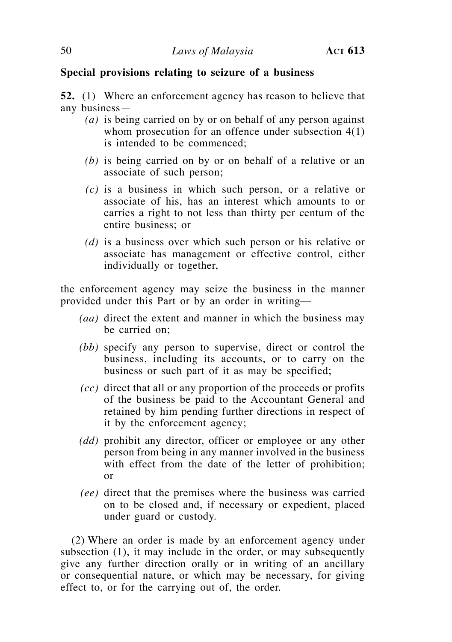# **Special provisions relating to seizure of a business**

**52.** (1) Where an enforcement agency has reason to believe that any business—

- *(a)* is being carried on by or on behalf of any person against whom prosecution for an offence under subsection 4(1) is intended to be commenced;
- *(b)* is being carried on by or on behalf of a relative or an associate of such person;
- *(c)* is a business in which such person, or a relative or associate of his, has an interest which amounts to or carries a right to not less than thirty per centum of the entire business; or
- *(d)* is a business over which such person or his relative or associate has management or effective control, either individually or together,

the enforcement agency may seize the business in the manner provided under this Part or by an order in writing—

- *(aa)* direct the extent and manner in which the business may be carried on;
- *(bb)* specify any person to supervise, direct or control the business, including its accounts, or to carry on the business or such part of it as may be specified;
- *(cc)* direct that all or any proportion of the proceeds or profits of the business be paid to the Accountant General and retained by him pending further directions in respect of it by the enforcement agency;
- *(dd)* prohibit any director, officer or employee or any other person from being in any manner involved in the business with effect from the date of the letter of prohibition; or
- *(ee)* direct that the premises where the business was carried on to be closed and, if necessary or expedient, placed under guard or custody.

(2) Where an order is made by an enforcement agency under subsection (1), it may include in the order, or may subsequently give any further direction orally or in writing of an ancillary or consequential nature, or which may be necessary, for giving effect to, or for the carrying out of, the order.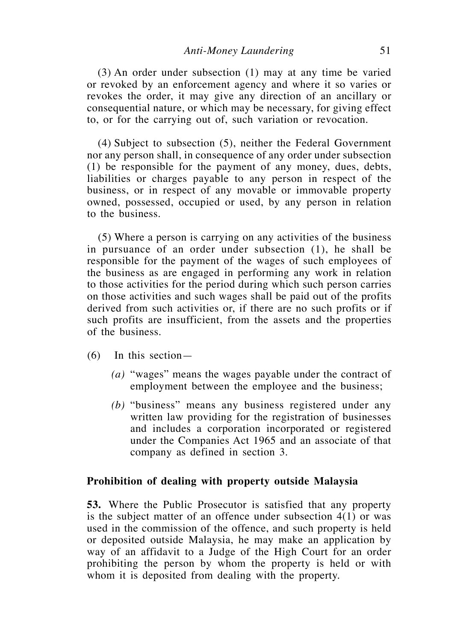$(3)$  An order under subsection  $(1)$  may at any time be varied or revoked by an enforcement agency and where it so varies or revokes the order, it may give any direction of an ancillary or consequential nature, or which may be necessary, for giving effect to, or for the carrying out of, such variation or revocation.

 $(4)$  Subject to subsection  $(5)$ , neither the Federal Government nor any person shall, in consequence of any order under subsection (1) be responsible for the payment of any money, dues, debts, liabilities or charges payable to any person in respect of the business, or in respect of any movable or immovable property owned, possessed, occupied or used, by any person in relation to the business.

 (5) Where a person is carrying on any activities of the business in pursuance of an order under subsection (1), he shall be responsible for the payment of the wages of such employees of the business as are engaged in performing any work in relation to those activities for the period during which such person carries on those activities and such wages shall be paid out of the profits derived from such activities or, if there are no such profits or if such profits are insufficient, from the assets and the properties of the business.

- $(6)$  In this section—
	- *(a)* "wages" means the wages payable under the contract of employment between the employee and the business;
	- *(b)* "business" means any business registered under any written law providing for the registration of businesses and includes a corporation incorporated or registered under the Companies Act 1965 and an associate of that company as defined in section 3.

#### **Prohibition of dealing with property outside Malaysia**

**53.** Where the Public Prosecutor is satisfied that any property is the subject matter of an offence under subsection 4(1) or was used in the commission of the offence, and such property is held or deposited outside Malaysia, he may make an application by way of an affidavit to a Judge of the High Court for an order prohibiting the person by whom the property is held or with whom it is deposited from dealing with the property.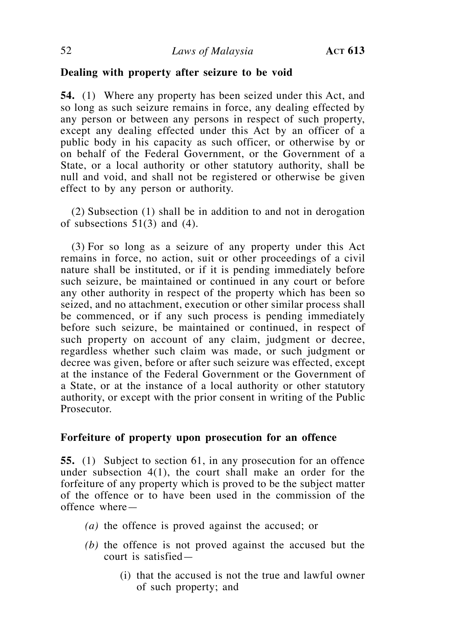## **Dealing with property after seizure to be void**

**54.** (1) Where any property has been seized under this Act, and so long as such seizure remains in force, any dealing effected by any person or between any persons in respect of such property, except any dealing effected under this Act by an officer of a public body in his capacity as such officer, or otherwise by or on behalf of the Federal Government, or the Government of a State, or a local authority or other statutory authority, shall be null and void, and shall not be registered or otherwise be given effect to by any person or authority.

 $(2)$  Subsection  $(1)$  shall be in addition to and not in derogation of subsections  $51(3)$  and  $(4)$ .

 (3) For so long as a seizure of any property under this Act remains in force, no action, suit or other proceedings of a civil nature shall be instituted, or if it is pending immediately before such seizure, be maintained or continued in any court or before any other authority in respect of the property which has been so seized, and no attachment, execution or other similar process shall be commenced, or if any such process is pending immediately before such seizure, be maintained or continued, in respect of such property on account of any claim, judgment or decree, regardless whether such claim was made, or such judgment or decree was given, before or after such seizure was effected, except at the instance of the Federal Government or the Government of a State, or at the instance of a local authority or other statutory authority, or except with the prior consent in writing of the Public Prosecutor.

## **Forfeiture of property upon prosecution for an offence**

**55.** (1) Subject to section 61, in any prosecution for an offence under subsection 4(1), the court shall make an order for the forfeiture of any property which is proved to be the subject matter of the offence or to have been used in the commission of the offence where—

- *(a)* the offence is proved against the accused; or
- *(b)* the offence is not proved against the accused but the court is satisfied—
	- (i) that the accused is not the true and lawful owner of such property; and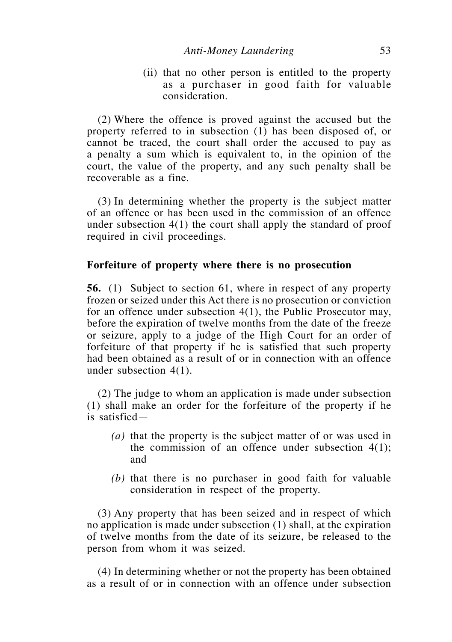(ii) that no other person is entitled to the property as a purchaser in good faith for valuable consideration.

 (2) Where the offence is proved against the accused but the property referred to in subsection (1) has been disposed of, or cannot be traced, the court shall order the accused to pay as a penalty a sum which is equivalent to, in the opinion of the court, the value of the property, and any such penalty shall be recoverable as a fine.

 (3) In determining whether the property is the subject matter of an offence or has been used in the commission of an offence under subsection 4(1) the court shall apply the standard of proof required in civil proceedings.

## **Forfeiture of property where there is no prosecution**

**56.** (1) Subject to section 61, where in respect of any property frozen or seized under this Act there is no prosecution or conviction for an offence under subsection 4(1), the Public Prosecutor may, before the expiration of twelve months from the date of the freeze or seizure, apply to a judge of the High Court for an order of forfeiture of that property if he is satisfied that such property had been obtained as a result of or in connection with an offence under subsection 4(1).

 (2) The judge to whom an application is made under subsection (1) shall make an order for the forfeiture of the property if he is satisfied—

- *(a)* that the property is the subject matter of or was used in the commission of an offence under subsection  $4(1)$ ; and
- *(b)* that there is no purchaser in good faith for valuable consideration in respect of the property.

 (3) Any property that has been seized and in respect of which no application is made under subsection (1) shall, at the expiration of twelve months from the date of its seizure, be released to the person from whom it was seized.

 (4) In determining whether or not the property has been obtained as a result of or in connection with an offence under subsection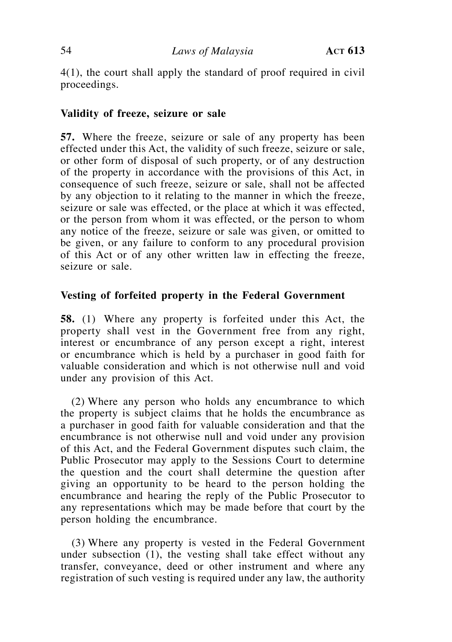4(1), the court shall apply the standard of proof required in civil proceedings.

# **Validity of freeze, seizure or sale**

**57.** Where the freeze, seizure or sale of any property has been effected under this Act, the validity of such freeze, seizure or sale, or other form of disposal of such property, or of any destruction of the property in accordance with the provisions of this Act, in consequence of such freeze, seizure or sale, shall not be affected by any objection to it relating to the manner in which the freeze, seizure or sale was effected, or the place at which it was effected, or the person from whom it was effected, or the person to whom any notice of the freeze, seizure or sale was given, or omitted to be given, or any failure to conform to any procedural provision of this Act or of any other written law in effecting the freeze, seizure or sale.

## **Vesting of forfeited property in the Federal Government**

**58.** (1) Where any property is forfeited under this Act, the property shall vest in the Government free from any right, interest or encumbrance of any person except a right, interest or encumbrance which is held by a purchaser in good faith for valuable consideration and which is not otherwise null and void under any provision of this Act.

 (2) Where any person who holds any encumbrance to which the property is subject claims that he holds the encumbrance as a purchaser in good faith for valuable consideration and that the encumbrance is not otherwise null and void under any provision of this Act, and the Federal Government disputes such claim, the Public Prosecutor may apply to the Sessions Court to determine the question and the court shall determine the question after giving an opportunity to be heard to the person holding the encumbrance and hearing the reply of the Public Prosecutor to any representations which may be made before that court by the person holding the encumbrance.

 (3) Where any property is vested in the Federal Government under subsection (1), the vesting shall take effect without any transfer, conveyance, deed or other instrument and where any registration of such vesting is required under any law, the authority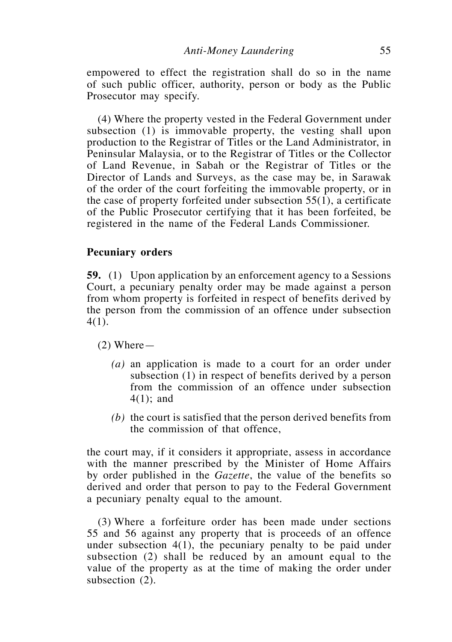empowered to effect the registration shall do so in the name of such public officer, authority, person or body as the Public Prosecutor may specify.

 (4) Where the property vested in the Federal Government under subsection (1) is immovable property, the vesting shall upon production to the Registrar of Titles or the Land Administrator, in Peninsular Malaysia, or to the Registrar of Titles or the Collector of Land Revenue, in Sabah or the Registrar of Titles or the Director of Lands and Surveys, as the case may be, in Sarawak of the order of the court forfeiting the immovable property, or in the case of property forfeited under subsection 55(1), a certificate of the Public Prosecutor certifying that it has been forfeited, be registered in the name of the Federal Lands Commissioner.

### **Pecuniary orders**

**59.** (1) Upon application by an enforcement agency to a Sessions Court, a pecuniary penalty order may be made against a person from whom property is forfeited in respect of benefits derived by the person from the commission of an offence under subsection 4(1).

 $(2)$  Where —

- *(a)* an application is made to a court for an order under subsection (1) in respect of benefits derived by a person from the commission of an offence under subsection 4(1); and
- *(b)* the court is satisfied that the person derived benefits from the commission of that offence,

the court may, if it considers it appropriate, assess in accordance with the manner prescribed by the Minister of Home Affairs by order published in the *Gazette*, the value of the benefits so derived and order that person to pay to the Federal Government a pecuniary penalty equal to the amount.

 (3) Where a forfeiture order has been made under sections 55 and 56 against any property that is proceeds of an offence under subsection 4(1), the pecuniary penalty to be paid under subsection (2) shall be reduced by an amount equal to the value of the property as at the time of making the order under subsection  $(2)$ .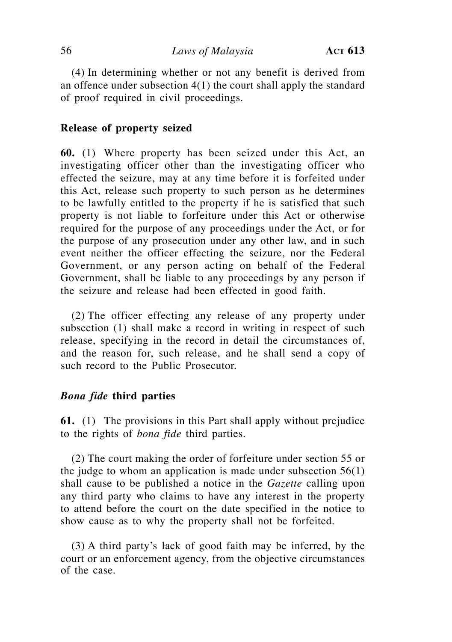(4) In determining whether or not any benefit is derived from an offence under subsection 4(1) the court shall apply the standard of proof required in civil proceedings.

## **Release of property seized**

**60.** (1) Where property has been seized under this Act, an investigating officer other than the investigating officer who effected the seizure, may at any time before it is forfeited under this Act, release such property to such person as he determines to be lawfully entitled to the property if he is satisfied that such property is not liable to forfeiture under this Act or otherwise required for the purpose of any proceedings under the Act, or for the purpose of any prosecution under any other law, and in such event neither the officer effecting the seizure, nor the Federal Government, or any person acting on behalf of the Federal Government, shall be liable to any proceedings by any person if the seizure and release had been effected in good faith.

(2) The officer effecting any release of any property under subsection (1) shall make a record in writing in respect of such release, specifying in the record in detail the circumstances of, and the reason for, such release, and he shall send a copy of such record to the Public Prosecutor.

### *Bona fide* **third parties**

**61.** (1) The provisions in this Part shall apply without prejudice to the rights of *bona fide* third parties.

 (2) The court making the order of forfeiture under section 55 or the judge to whom an application is made under subsection  $56(1)$ shall cause to be published a notice in the *Gazette* calling upon any third party who claims to have any interest in the property to attend before the court on the date specified in the notice to show cause as to why the property shall not be forfeited.

 (3) A third party's lack of good faith may be inferred, by the court or an enforcement agency, from the objective circumstances of the case.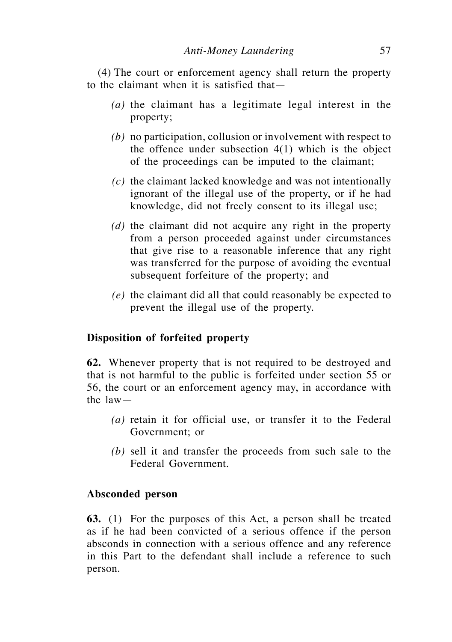(4) The court or enforcement agency shall return the property to the claimant when it is satisfied that—

- *(a)* the claimant has a legitimate legal interest in the property;
- *(b)* no participation, collusion or involvement with respect to the offence under subsection  $4(1)$  which is the object of the proceedings can be imputed to the claimant;
- *(c)* the claimant lacked knowledge and was not intentionally ignorant of the illegal use of the property, or if he had knowledge, did not freely consent to its illegal use;
- *(d)* the claimant did not acquire any right in the property from a person proceeded against under circumstances that give rise to a reasonable inference that any right was transferred for the purpose of avoiding the eventual subsequent forfeiture of the property; and
- *(e)* the claimant did all that could reasonably be expected to prevent the illegal use of the property.

## **Disposition of forfeited property**

**62.** Whenever property that is not required to be destroyed and that is not harmful to the public is forfeited under section 55 or 56, the court or an enforcement agency may, in accordance with the law—

- *(a)* retain it for official use, or transfer it to the Federal Government; or
- *(b)* sell it and transfer the proceeds from such sale to the Federal Government.

### **Absconded person**

**63.** (1) For the purposes of this Act, a person shall be treated as if he had been convicted of a serious offence if the person absconds in connection with a serious offence and any reference in this Part to the defendant shall include a reference to such person.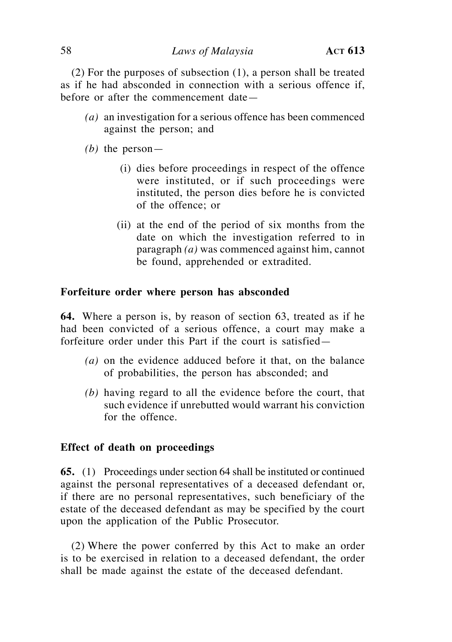$(2)$  For the purposes of subsection  $(1)$ , a person shall be treated as if he had absconded in connection with a serious offence if, before or after the commencement date—

- *(a)* an investigation for a serious offence has been commenced against the person; and
- *(b)* the person—
	- (i) dies before proceedings in respect of the offence were instituted, or if such proceedings were instituted, the person dies before he is convicted of the offence; or
	- (ii) at the end of the period of six months from the date on which the investigation referred to in paragraph *(a)* was commenced against him, cannot be found, apprehended or extradited.

### **Forfeiture order where person has absconded**

**64.** Where a person is, by reason of section 63, treated as if he had been convicted of a serious offence, a court may make a forfeiture order under this Part if the court is satisfied—

- *(a)* on the evidence adduced before it that, on the balance of probabilities, the person has absconded; and
- *(b)* having regard to all the evidence before the court, that such evidence if unrebutted would warrant his conviction for the offence.

#### **Effect of death on proceedings**

**65.** (1) Proceedings under section 64 shall be instituted or continued against the personal representatives of a deceased defendant or, if there are no personal representatives, such beneficiary of the estate of the deceased defendant as may be specified by the court upon the application of the Public Prosecutor.

 (2) Where the power conferred by this Act to make an order is to be exercised in relation to a deceased defendant, the order shall be made against the estate of the deceased defendant.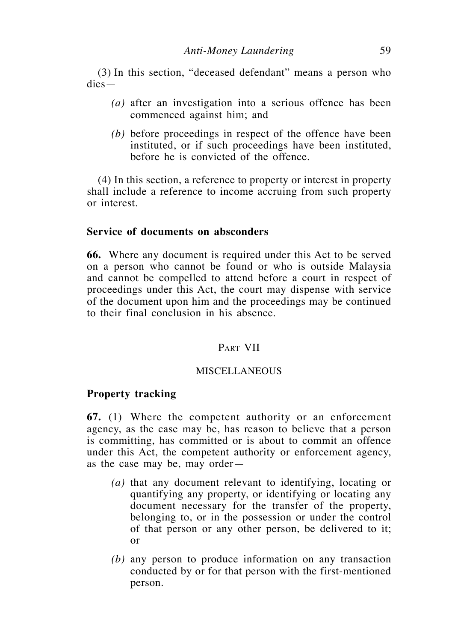(3) In this section, "deceased defendant" means a person who dies—

- *(a)* after an investigation into a serious offence has been commenced against him; and
- *(b)* before proceedings in respect of the offence have been instituted, or if such proceedings have been instituted, before he is convicted of the offence.

 (4) In this section, a reference to property or interest in property shall include a reference to income accruing from such property or interest.

### **Service of documents on absconders**

**66.** Where any document is required under this Act to be served on a person who cannot be found or who is outside Malaysia and cannot be compelled to attend before a court in respect of proceedings under this Act, the court may dispense with service of the document upon him and the proceedings may be continued to their final conclusion in his absence.

### PART VII

#### MISCELLANEOUS

#### **Property tracking**

**67.** (1) Where the competent authority or an enforcement agency, as the case may be, has reason to believe that a person is committing, has committed or is about to commit an offence under this Act, the competent authority or enforcement agency, as the case may be, may order—

- *(a)* that any document relevant to identifying, locating or quantifying any property, or identifying or locating any document necessary for the transfer of the property, belonging to, or in the possession or under the control of that person or any other person, be delivered to it; or
- *(b)* any person to produce information on any transaction conducted by or for that person with the first-mentioned person.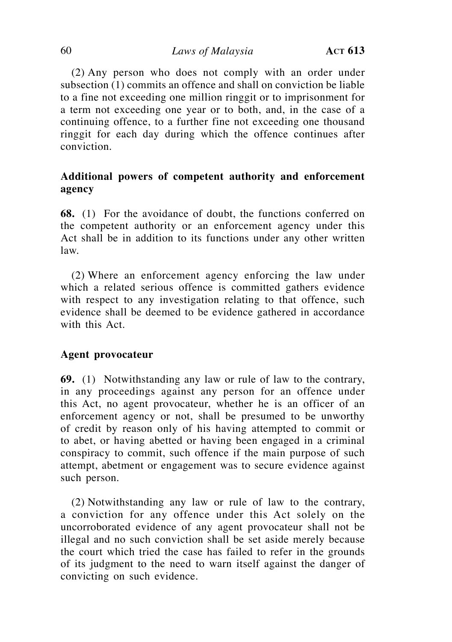(2) Any person who does not comply with an order under subsection (1) commits an offence and shall on conviction be liable to a fine not exceeding one million ringgit or to imprisonment for a term not exceeding one year or to both, and, in the case of a continuing offence, to a further fine not exceeding one thousand ringgit for each day during which the offence continues after conviction.

# **Additional powers of competent authority and enforcement agency**

**68.** (1) For the avoidance of doubt, the functions conferred on the competent authority or an enforcement agency under this Act shall be in addition to its functions under any other written law.

 (2) Where an enforcement agency enforcing the law under which a related serious offence is committed gathers evidence with respect to any investigation relating to that offence, such evidence shall be deemed to be evidence gathered in accordance with this Act.

## **Agent provocateur**

**69.** (1) Notwithstanding any law or rule of law to the contrary, in any proceedings against any person for an offence under this Act, no agent provocateur, whether he is an officer of an enforcement agency or not, shall be presumed to be unworthy of credit by reason only of his having attempted to commit or to abet, or having abetted or having been engaged in a criminal conspiracy to commit, such offence if the main purpose of such attempt, abetment or engagement was to secure evidence against such person.

(2) Notwithstanding any law or rule of law to the contrary, a conviction for any offence under this Act solely on the uncorroborated evidence of any agent provocateur shall not be illegal and no such conviction shall be set aside merely because the court which tried the case has failed to refer in the grounds of its judgment to the need to warn itself against the danger of convicting on such evidence.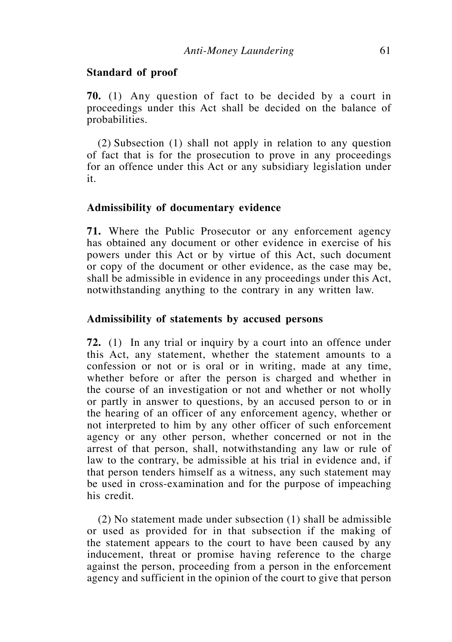#### **Standard of proof**

**70.** (1) Any question of fact to be decided by a court in proceedings under this Act shall be decided on the balance of probabilities.

 $(2)$  Subsection  $(1)$  shall not apply in relation to any question of fact that is for the prosecution to prove in any proceedings for an offence under this Act or any subsidiary legislation under it.

#### **Admissibility of documentary evidence**

**71.** Where the Public Prosecutor or any enforcement agency has obtained any document or other evidence in exercise of his powers under this Act or by virtue of this Act, such document or copy of the document or other evidence, as the case may be, shall be admissible in evidence in any proceedings under this Act, notwithstanding anything to the contrary in any written law.

### **Admissibility of statements by accused persons**

**72.** (1) In any trial or inquiry by a court into an offence under this Act, any statement, whether the statement amounts to a confession or not or is oral or in writing, made at any time, whether before or after the person is charged and whether in the course of an investigation or not and whether or not wholly or partly in answer to questions, by an accused person to or in the hearing of an officer of any enforcement agency, whether or not interpreted to him by any other officer of such enforcement agency or any other person, whether concerned or not in the arrest of that person, shall, notwithstanding any law or rule of law to the contrary, be admissible at his trial in evidence and, if that person tenders himself as a witness, any such statement may be used in cross-examination and for the purpose of impeaching his credit.

 $(2)$  No statement made under subsection  $(1)$  shall be admissible or used as provided for in that subsection if the making of the statement appears to the court to have been caused by any inducement, threat or promise having reference to the charge against the person, proceeding from a person in the enforcement agency and sufficient in the opinion of the court to give that person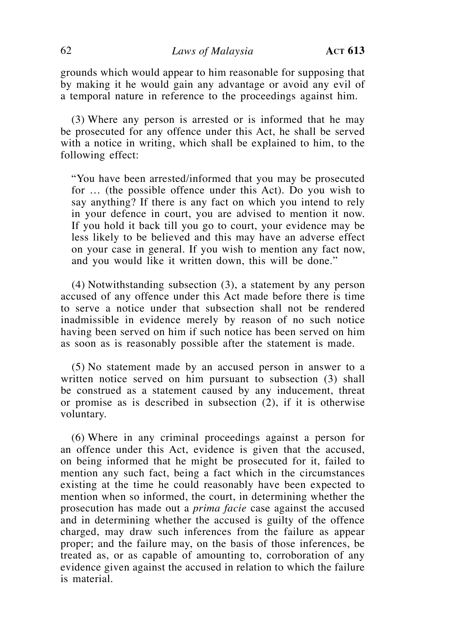grounds which would appear to him reasonable for supposing that by making it he would gain any advantage or avoid any evil of a temporal nature in reference to the proceedings against him.

 (3) Where any person is arrested or is informed that he may be prosecuted for any offence under this Act, he shall be served with a notice in writing, which shall be explained to him, to the following effect:

 "You have been arrested/informed that you may be prosecuted for … (the possible offence under this Act). Do you wish to say anything? If there is any fact on which you intend to rely in your defence in court, you are advised to mention it now. If you hold it back till you go to court, your evidence may be less likely to be believed and this may have an adverse effect on your case in general. If you wish to mention any fact now, and you would like it written down, this will be done."

 $(4)$  Notwithstanding subsection  $(3)$ , a statement by any person accused of any offence under this Act made before there is time to serve a notice under that subsection shall not be rendered inadmissible in evidence merely by reason of no such notice having been served on him if such notice has been served on him as soon as is reasonably possible after the statement is made.

 (5) No statement made by an accused person in answer to a written notice served on him pursuant to subsection (3) shall be construed as a statement caused by any inducement, threat or promise as is described in subsection (2), if it is otherwise voluntary.

 (6) Where in any criminal proceedings against a person for an offence under this Act, evidence is given that the accused, on being informed that he might be prosecuted for it, failed to mention any such fact, being a fact which in the circumstances existing at the time he could reasonably have been expected to mention when so informed, the court, in determining whether the prosecution has made out a *prima facie* case against the accused and in determining whether the accused is guilty of the offence charged, may draw such inferences from the failure as appear proper; and the failure may, on the basis of those inferences, be treated as, or as capable of amounting to, corroboration of any evidence given against the accused in relation to which the failure is material.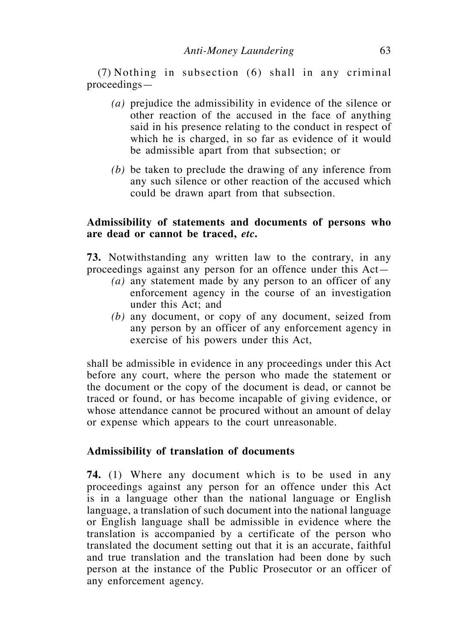$(7)$  Nothing in subsection  $(6)$  shall in any criminal proceedings—

- *(a)* prejudice the admissibility in evidence of the silence or other reaction of the accused in the face of anything said in his presence relating to the conduct in respect of which he is charged, in so far as evidence of it would be admissible apart from that subsection; or
- *(b)* be taken to preclude the drawing of any inference from any such silence or other reaction of the accused which could be drawn apart from that subsection.

## **Admissibility of statements and documents of persons who are dead or cannot be traced,** *etc***.**

**73.** Notwithstanding any written law to the contrary, in any proceedings against any person for an offence under this Act—

- *(a)* any statement made by any person to an officer of any enforcement agency in the course of an investigation under this Act; and
- *(b)* any document, or copy of any document, seized from any person by an officer of any enforcement agency in exercise of his powers under this Act,

shall be admissible in evidence in any proceedings under this Act before any court, where the person who made the statement or the document or the copy of the document is dead, or cannot be traced or found, or has become incapable of giving evidence, or whose attendance cannot be procured without an amount of delay or expense which appears to the court unreasonable.

## **Admissibility of translation of documents**

**74.** (1) Where any document which is to be used in any proceedings against any person for an offence under this Act is in a language other than the national language or English language, a translation of such document into the national language or English language shall be admissible in evidence where the translation is accompanied by a certificate of the person who translated the document setting out that it is an accurate, faithful and true translation and the translation had been done by such person at the instance of the Public Prosecutor or an officer of any enforcement agency.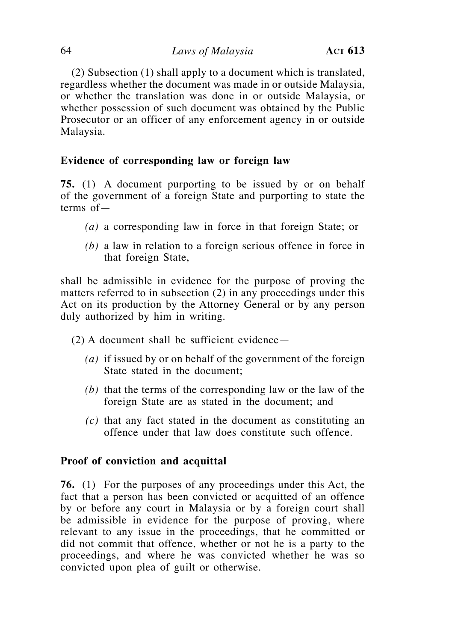(2) Subsection (1) shall apply to a document which is translated, regardless whether the document was made in or outside Malaysia, or whether the translation was done in or outside Malaysia, or whether possession of such document was obtained by the Public Prosecutor or an officer of any enforcement agency in or outside Malaysia.

# **Evidence of corresponding law or foreign law**

**75.** (1) A document purporting to be issued by or on behalf of the government of a foreign State and purporting to state the terms of—

- *(a)* a corresponding law in force in that foreign State; or
- *(b)* a law in relation to a foreign serious offence in force in that foreign State,

shall be admissible in evidence for the purpose of proving the matters referred to in subsection (2) in any proceedings under this Act on its production by the Attorney General or by any person duly authorized by him in writing.

 $(2)$  A document shall be sufficient evidence—

- *(a)* if issued by or on behalf of the government of the foreign State stated in the document;
- *(b)* that the terms of the corresponding law or the law of the foreign State are as stated in the document; and
- *(c)* that any fact stated in the document as constituting an offence under that law does constitute such offence.

# **Proof of conviction and acquittal**

**76.** (1) For the purposes of any proceedings under this Act, the fact that a person has been convicted or acquitted of an offence by or before any court in Malaysia or by a foreign court shall be admissible in evidence for the purpose of proving, where relevant to any issue in the proceedings, that he committed or did not commit that offence, whether or not he is a party to the proceedings, and where he was convicted whether he was so convicted upon plea of guilt or otherwise.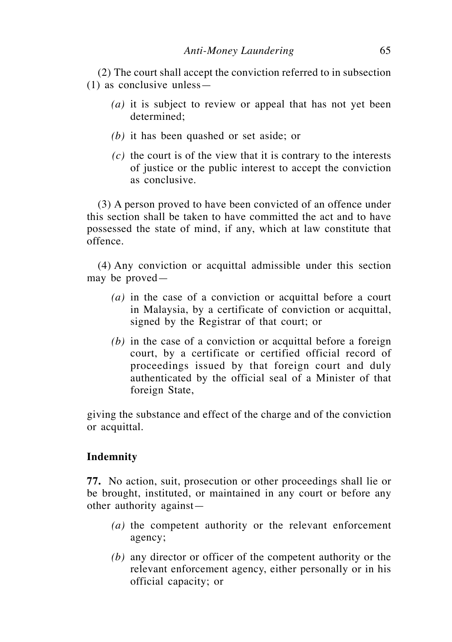(2) The court shall accept the conviction referred to in subsection (1) as conclusive unless—

- *(a)* it is subject to review or appeal that has not yet been determined;
- *(b)* it has been quashed or set aside; or
- *(c)* the court is of the view that it is contrary to the interests of justice or the public interest to accept the conviction as conclusive.

 (3) A person proved to have been convicted of an offence under this section shall be taken to have committed the act and to have possessed the state of mind, if any, which at law constitute that offence.

 (4) Any conviction or acquittal admissible under this section may be proved—

- *(a)* in the case of a conviction or acquittal before a court in Malaysia, by a certificate of conviction or acquittal, signed by the Registrar of that court; or
- *(b)* in the case of a conviction or acquittal before a foreign court, by a certificate or certified official record of proceedings issued by that foreign court and duly authenticated by the official seal of a Minister of that foreign State,

giving the substance and effect of the charge and of the conviction or acquittal.

## **Indemnity**

**77.** No action, suit, prosecution or other proceedings shall lie or be brought, instituted, or maintained in any court or before any other authority against—

- *(a)* the competent authority or the relevant enforcement agency;
- *(b)* any director or officer of the competent authority or the relevant enforcement agency, either personally or in his official capacity; or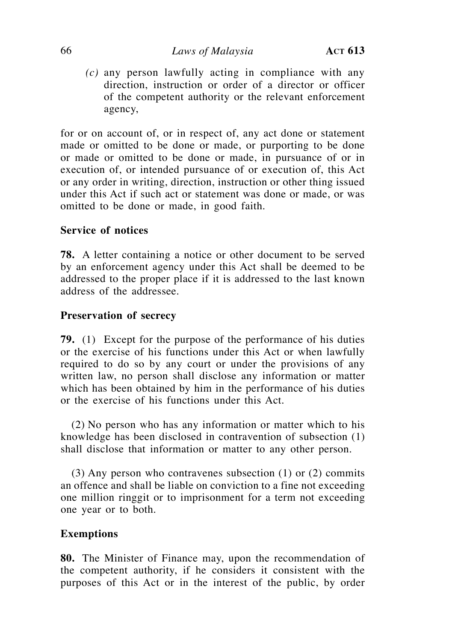### 66 *Laws of Malaysia* **Act 613**

*(c)* any person lawfully acting in compliance with any direction, instruction or order of a director or officer of the competent authority or the relevant enforcement agency,

for or on account of, or in respect of, any act done or statement made or omitted to be done or made, or purporting to be done or made or omitted to be done or made, in pursuance of or in execution of, or intended pursuance of or execution of, this Act or any order in writing, direction, instruction or other thing issued under this Act if such act or statement was done or made, or was omitted to be done or made, in good faith.

## **Service of notices**

**78.** A letter containing a notice or other document to be served by an enforcement agency under this Act shall be deemed to be addressed to the proper place if it is addressed to the last known address of the addressee.

## **Preservation of secrecy**

**79.** (1) Except for the purpose of the performance of his duties or the exercise of his functions under this Act or when lawfully required to do so by any court or under the provisions of any written law, no person shall disclose any information or matter which has been obtained by him in the performance of his duties or the exercise of his functions under this Act.

 (2) No person who has any information or matter which to his knowledge has been disclosed in contravention of subsection (1) shall disclose that information or matter to any other person.

(3) Any person who contravenes subsection  $(1)$  or  $(2)$  commits an offence and shall be liable on conviction to a fine not exceeding one million ringgit or to imprisonment for a term not exceeding one year or to both.

## **Exemptions**

**80.** The Minister of Finance may, upon the recommendation of the competent authority, if he considers it consistent with the purposes of this Act or in the interest of the public, by order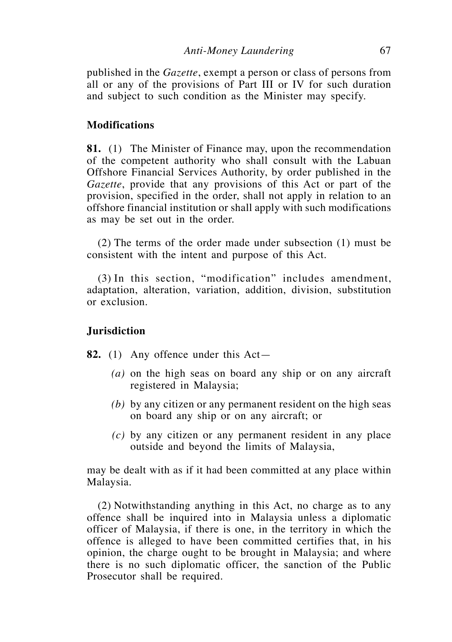published in the *Gazette*, exempt a person or class of persons from all or any of the provisions of Part III or IV for such duration and subject to such condition as the Minister may specify.

### **Modifications**

**81.** (1) The Minister of Finance may, upon the recommendation of the competent authority who shall consult with the Labuan Offshore Financial Services Authority, by order published in the *Gazette*, provide that any provisions of this Act or part of the provision, specified in the order, shall not apply in relation to an offshore financial institution or shall apply with such modifications as may be set out in the order.

 $(2)$  The terms of the order made under subsection  $(1)$  must be consistent with the intent and purpose of this Act.

(3) In this section, "modification" includes amendment, adaptation, alteration, variation, addition, division, substitution or exclusion.

#### **Jurisdiction**

- **82.** (1) Any offence under this Act—
	- *(a)* on the high seas on board any ship or on any aircraft registered in Malaysia;
	- *(b)* by any citizen or any permanent resident on the high seas on board any ship or on any aircraft; or
	- *(c)* by any citizen or any permanent resident in any place outside and beyond the limits of Malaysia,

may be dealt with as if it had been committed at any place within Malaysia.

(2) Notwithstanding anything in this Act, no charge as to any offence shall be inquired into in Malaysia unless a diplomatic officer of Malaysia, if there is one, in the territory in which the offence is alleged to have been committed certifies that, in his opinion, the charge ought to be brought in Malaysia; and where there is no such diplomatic officer, the sanction of the Public Prosecutor shall be required.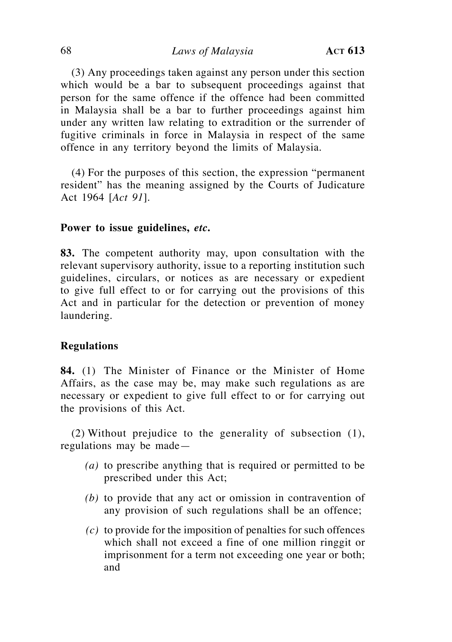(3) Any proceedings taken against any person under this section which would be a bar to subsequent proceedings against that person for the same offence if the offence had been committed in Malaysia shall be a bar to further proceedings against him under any written law relating to extradition or the surrender of fugitive criminals in force in Malaysia in respect of the same offence in any territory beyond the limits of Malaysia.

 $(4)$  For the purposes of this section, the expression "permanent" resident" has the meaning assigned by the Courts of Judicature Act 1964 [*Act 91*].

### **Power to issue guidelines,** *etc***.**

**83.** The competent authority may, upon consultation with the relevant supervisory authority, issue to a reporting institution such guidelines, circulars, or notices as are necessary or expedient to give full effect to or for carrying out the provisions of this Act and in particular for the detection or prevention of money laundering.

### **Regulations**

**84.** (1) The Minister of Finance or the Minister of Home Affairs, as the case may be, may make such regulations as are necessary or expedient to give full effect to or for carrying out the provisions of this Act.

(2) Without prejudice to the generality of subsection  $(1)$ , regulations may be made—

- *(a)* to prescribe anything that is required or permitted to be prescribed under this Act;
- *(b)* to provide that any act or omission in contravention of any provision of such regulations shall be an offence;
- *(c)* to provide for the imposition of penalties for such offences which shall not exceed a fine of one million ringgit or imprisonment for a term not exceeding one year or both; and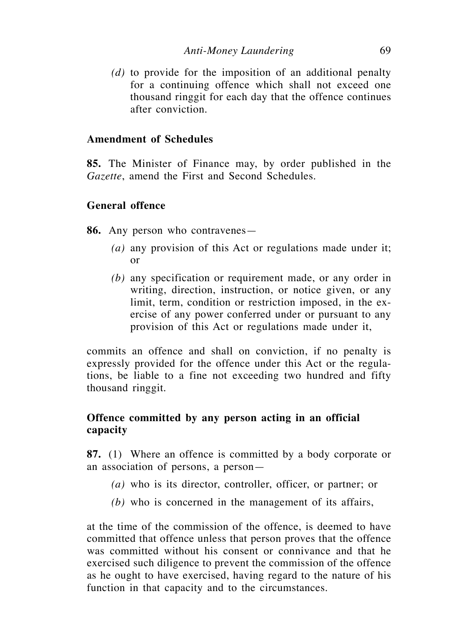*(d)* to provide for the imposition of an additional penalty for a continuing offence which shall not exceed one thousand ringgit for each day that the offence continues after conviction.

## **Amendment of Schedules**

**85.** The Minister of Finance may, by order published in the *Gazette*, amend the First and Second Schedules.

## **General offence**

**86.** Any person who contravenes—

- *(a)* any provision of this Act or regulations made under it; or
- *(b)* any specification or requirement made, or any order in writing, direction, instruction, or notice given, or any limit, term, condition or restriction imposed, in the exercise of any power conferred under or pursuant to any provision of this Act or regulations made under it,

commits an offence and shall on conviction, if no penalty is expressly provided for the offence under this Act or the regulations, be liable to a fine not exceeding two hundred and fifty thousand ringgit.

# **Offence committed by any person acting in an official capacity**

**87.** (1) Where an offence is committed by a body corporate or an association of persons, a person—

- *(a)* who is its director, controller, officer, or partner; or
- *(b)* who is concerned in the management of its affairs,

at the time of the commission of the offence, is deemed to have committed that offence unless that person proves that the offence was committed without his consent or connivance and that he exercised such diligence to prevent the commission of the offence as he ought to have exercised, having regard to the nature of his function in that capacity and to the circumstances.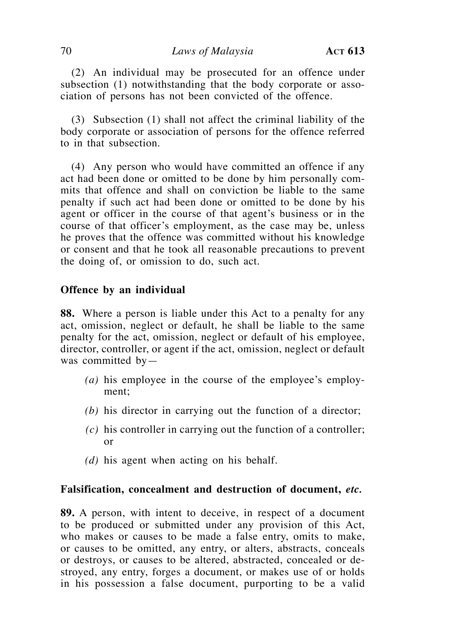(2) An individual may be prosecuted for an offence under subsection (1) notwithstanding that the body corporate or association of persons has not been convicted of the offence.

 (3) Subsection (1) shall not affect the criminal liability of the body corporate or association of persons for the offence referred to in that subsection.

 (4) Any person who would have committed an offence if any act had been done or omitted to be done by him personally commits that offence and shall on conviction be liable to the same penalty if such act had been done or omitted to be done by his agent or officer in the course of that agent's business or in the course of that officer's employment, as the case may be, unless he proves that the offence was committed without his knowledge or consent and that he took all reasonable precautions to prevent the doing of, or omission to do, such act.

### **Offence by an individual**

**88.** Where a person is liable under this Act to a penalty for any act, omission, neglect or default, he shall be liable to the same penalty for the act, omission, neglect or default of his employee, director, controller, or agent if the act, omission, neglect or default was committed by—

- *(a)* his employee in the course of the employee's employment;
- *(b)* his director in carrying out the function of a director;
- *(c)* his controller in carrying out the function of a controller; or
- *(d)* his agent when acting on his behalf.

### **Falsification, concealment and destruction of document,** *etc.*

**89.** A person, with intent to deceive, in respect of a document to be produced or submitted under any provision of this Act, who makes or causes to be made a false entry, omits to make, or causes to be omitted, any entry, or alters, abstracts, conceals or destroys, or causes to be altered, abstracted, concealed or destroyed, any entry, forges a document, or makes use of or holds in his possession a false document, purporting to be a valid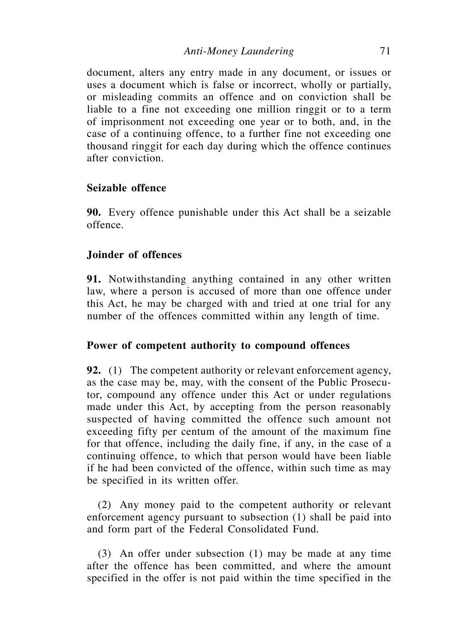document, alters any entry made in any document, or issues or uses a document which is false or incorrect, wholly or partially, or misleading commits an offence and on conviction shall be liable to a fine not exceeding one million ringgit or to a term of imprisonment not exceeding one year or to both, and, in the case of a continuing offence, to a further fine not exceeding one thousand ringgit for each day during which the offence continues after conviction.

## **Seizable offence**

**90.** Every offence punishable under this Act shall be a seizable offence.

## **Joinder of offences**

**91.** Notwithstanding anything contained in any other written law, where a person is accused of more than one offence under this Act, he may be charged with and tried at one trial for any number of the offences committed within any length of time.

### **Power of competent authority to compound offences**

**92.** (1) The competent authority or relevant enforcement agency, as the case may be, may, with the consent of the Public Prosecutor, compound any offence under this Act or under regulations made under this Act, by accepting from the person reasonably suspected of having committed the offence such amount not exceeding fifty per centum of the amount of the maximum fine for that offence, including the daily fine, if any, in the case of a continuing offence, to which that person would have been liable if he had been convicted of the offence, within such time as may be specified in its written offer.

 (2) Any money paid to the competent authority or relevant enforcement agency pursuant to subsection (1) shall be paid into and form part of the Federal Consolidated Fund.

 (3) An offer under subsection (1) may be made at any time after the offence has been committed, and where the amount specified in the offer is not paid within the time specified in the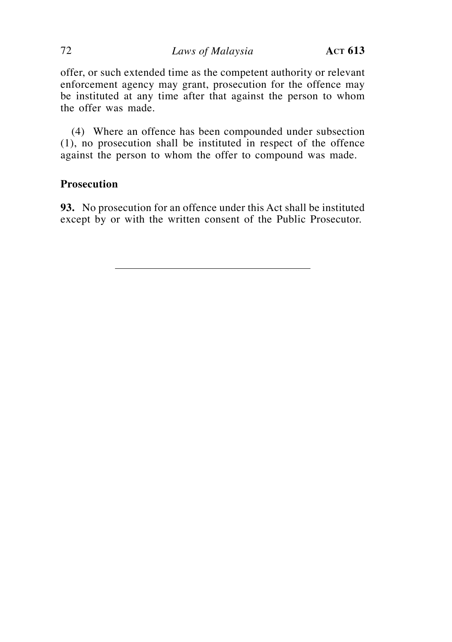offer, or such extended time as the competent authority or relevant enforcement agency may grant, prosecution for the offence may be instituted at any time after that against the person to whom the offer was made.

(4) Where an offence has been compounded under subsection (1), no prosecution shall be instituted in respect of the offence against the person to whom the offer to compound was made.

# **Prosecution**

**93.** No prosecution for an offence under this Act shall be instituted except by or with the written consent of the Public Prosecutor.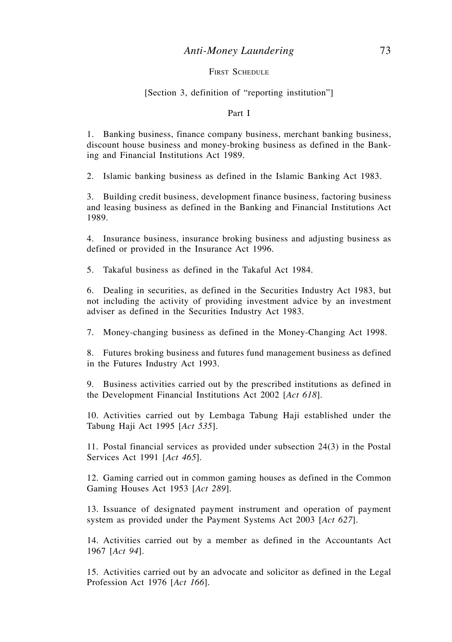#### *Anti-Money Laundering* 73

#### FIRST SCHEDULE

#### [Section 3, definition of "reporting institution"]

#### Part I

1. Banking business, finance company business, merchant banking business, discount house business and money-broking business as defined in the Banking and Financial Institutions Act 1989.

2. Islamic banking business as defined in the Islamic Banking Act 1983.

3. Building credit business, development finance business, factoring business and leasing business as defined in the Banking and Financial Institutions Act 1989.

4. Insurance business, insurance broking business and adjusting business as defined or provided in the Insurance Act 1996.

5. Takaful business as defined in the Takaful Act 1984.

6. Dealing in securities, as defined in the Securities Industry Act 1983, but not including the activity of providing investment advice by an investment adviser as defined in the Securities Industry Act 1983.

7. Money-changing business as defined in the Money-Changing Act 1998.

8. Futures broking business and futures fund management business as defined in the Futures Industry Act 1993.

9. Business activities carried out by the prescribed institutions as defined in the Development Financial Institutions Act 2002 [*Act 618*].

10. Activities carried out by Lembaga Tabung Haji established under the Tabung Haji Act 1995 [*Act 535*]*.*

11. Postal financial services as provided under subsection  $24(3)$  in the Postal Services Act 1991 [*Act 465*]*.*

12. Gaming carried out in common gaming houses as defined in the Common Gaming Houses Act 1953 [*Act 289*]*.*

13. Issuance of designated payment instrument and operation of payment system as provided under the Payment Systems Act 2003 [*Act 627*].

14. Activities carried out by a member as defined in the Accountants Act 1967 [*Act 94*].

15. Activities carried out by an advocate and solicitor as defined in the Legal Profession Act 1976 [*Act 166*]*.*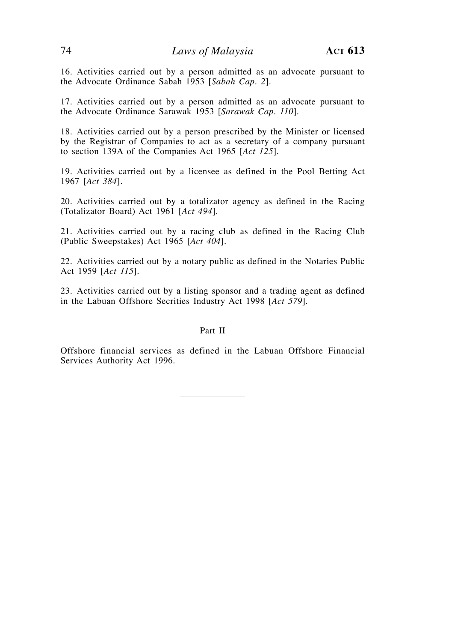16. Activities carried out by a person admitted as an advocate pursuant to the Advocate Ordinance Sabah 1953 [*Sabah Cap. 2*].

17. Activities carried out by a person admitted as an advocate pursuant to the Advocate Ordinance Sarawak 1953 [*Sarawak Cap. 110*].

18. Activities carried out by a person prescribed by the Minister or licensed by the Registrar of Companies to act as a secretary of a company pursuant to section 139A of the Companies Act 1965 [*Act 125*].

19. Activities carried out by a licensee as defined in the Pool Betting Act 1967 [*Act 384*].

20. Activities carried out by a totalizator agency as defined in the Racing (Totalizator Board) Act 1961 [*Act 494*].

21. Activities carried out by a racing club as defined in the Racing Club (Public Sweepstakes) Act 1965 [*Act 404*].

22. Activities carried out by a notary public as defined in the Notaries Public Act 1959 [*Act 115*].

23. Activities carried out by a listing sponsor and a trading agent as defined in the Labuan Offshore Secrities Industry Act 1998 [*Act 579*].

#### Part II

Offshore financial services as defined in the Labuan Offshore Financial Services Authority Act 1996.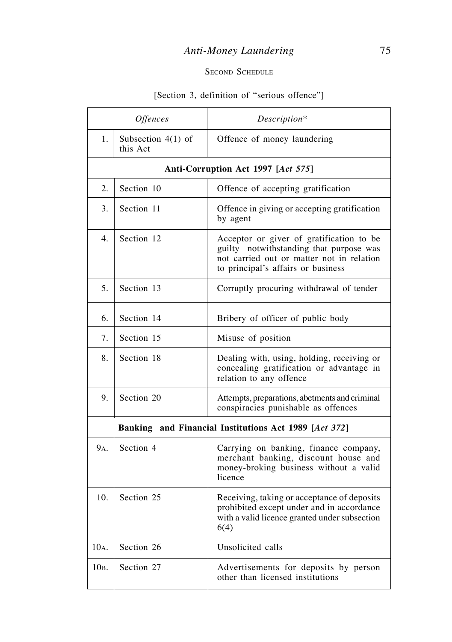## *Anti-Money Laundering* 75

### SECOND SCHEDULE

## [Section 3, definition of "serious offence"]

| <i><b>Offences</b></i> |                                  | Description*                                                                                                                                                           |
|------------------------|----------------------------------|------------------------------------------------------------------------------------------------------------------------------------------------------------------------|
| 1.                     | Subsection $4(1)$ of<br>this Act | Offence of money laundering                                                                                                                                            |
|                        |                                  | Anti-Corruption Act 1997 [Act 575]                                                                                                                                     |
| 2.                     | Section 10                       | Offence of accepting gratification                                                                                                                                     |
| 3.                     | Section 11                       | Offence in giving or accepting gratification<br>by agent                                                                                                               |
| $\overline{4}$ .       | Section 12                       | Acceptor or giver of gratification to be<br>guilty notwithstanding that purpose was<br>not carried out or matter not in relation<br>to principal's affairs or business |
| 5.                     | Section 13                       | Corruptly procuring withdrawal of tender                                                                                                                               |
| 6.                     | Section 14                       | Bribery of officer of public body                                                                                                                                      |
| 7.                     | Section 15                       | Misuse of position                                                                                                                                                     |
| 8.                     | Section 18                       | Dealing with, using, holding, receiving or<br>concealing gratification or advantage in<br>relation to any offence                                                      |
| 9.                     | Section 20                       | Attempts, preparations, abetments and criminal<br>conspiracies punishable as offences                                                                                  |
|                        |                                  | Banking and Financial Institutions Act 1989 [Act 372]                                                                                                                  |
| 9 <sub>A</sub> .       | Section 4                        | Carrying on banking, finance company,<br>merchant banking, discount house and<br>money-broking business without a valid<br>licence                                     |
| 10.                    | Section 25                       | Receiving, taking or acceptance of deposits<br>prohibited except under and in accordance<br>with a valid licence granted under subsection<br>6(4)                      |
| $10A$ .                | Section 26                       | Unsolicited calls                                                                                                                                                      |
| 10в.                   | Section 27                       | Advertisements for deposits by person<br>other than licensed institutions                                                                                              |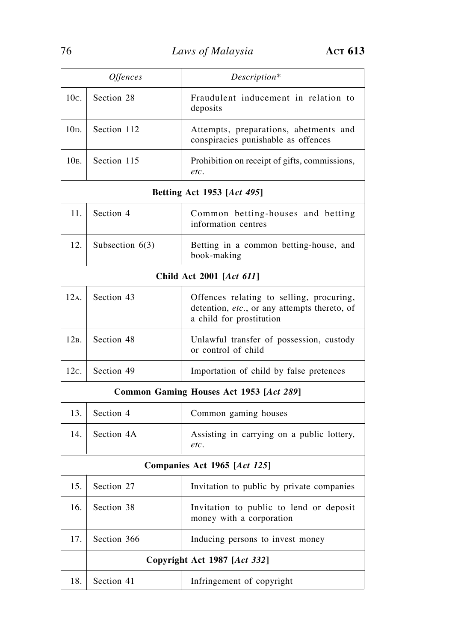| <i><b>Offences</b></i>                  |                              | Description*                                                                                                         |
|-----------------------------------------|------------------------------|----------------------------------------------------------------------------------------------------------------------|
| $10c$ .                                 | Section 28                   | Fraudulent inducement in relation to<br>deposits                                                                     |
| $10D$ .                                 | Section 112                  | Attempts, preparations, abetments and<br>conspiracies punishable as offences                                         |
| $10E$ .                                 | Section 115                  | Prohibition on receipt of gifts, commissions,<br>etc.                                                                |
|                                         |                              | Betting Act 1953 [Act 495]                                                                                           |
| 11.                                     | Section 4                    | Common betting-houses and betting<br>information centres                                                             |
| 12.                                     | Subsection $6(3)$            | Betting in a common betting-house, and<br>book-making                                                                |
|                                         |                              | Child Act 2001 [Act 611]                                                                                             |
| 12A.                                    | Section 43                   | Offences relating to selling, procuring,<br>detention, etc., or any attempts thereto, of<br>a child for prostitution |
| 12B.                                    | Section 48                   | Unlawful transfer of possession, custody<br>or control of child                                                      |
| 12c.                                    | Section 49                   | Importation of child by false pretences                                                                              |
| Common Gaming Houses Act 1953 [Act 289] |                              |                                                                                                                      |
| 13.                                     | Section 4                    | Common gaming houses                                                                                                 |
| 14.                                     | Section 4A                   | Assisting in carrying on a public lottery,<br>etc.                                                                   |
| Companies Act 1965 [Act 125]            |                              |                                                                                                                      |
| 15.                                     | Section 27                   | Invitation to public by private companies                                                                            |
| 16.                                     | Section 38                   | Invitation to public to lend or deposit<br>money with a corporation                                                  |
| 17.                                     | Section 366                  | Inducing persons to invest money                                                                                     |
|                                         | Copyright Act 1987 [Act 332] |                                                                                                                      |
| 18.                                     | Section 41                   | Infringement of copyright                                                                                            |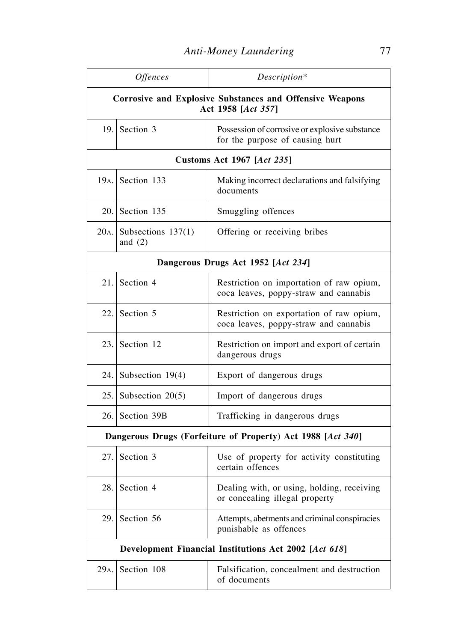| Offences                                                                              |                                        | Description*                                                                      |
|---------------------------------------------------------------------------------------|----------------------------------------|-----------------------------------------------------------------------------------|
| <b>Corrosive and Explosive Substances and Offensive Weapons</b><br>Act 1958 [Act 357] |                                        |                                                                                   |
| 19.                                                                                   | Section 3                              | Possession of corrosive or explosive substance<br>for the purpose of causing hurt |
|                                                                                       |                                        | <b>Customs Act 1967 [Act 235]</b>                                                 |
|                                                                                       | $19A$ . Section 133                    | Making incorrect declarations and falsifying<br>documents                         |
| 20.                                                                                   | Section 135                            | Smuggling offences                                                                |
|                                                                                       | $20A.$ Subsections 137(1)<br>and $(2)$ | Offering or receiving bribes                                                      |
|                                                                                       |                                        | Dangerous Drugs Act 1952 [Act 234]                                                |
|                                                                                       | $21.$ Section 4                        | Restriction on importation of raw opium,<br>coca leaves, poppy-straw and cannabis |
| 22.                                                                                   | Section 5                              | Restriction on exportation of raw opium,<br>coca leaves, poppy-straw and cannabis |
|                                                                                       | $23.$ Section 12                       | Restriction on import and export of certain<br>dangerous drugs                    |
| 24.1                                                                                  | Subsection $19(4)$                     | Export of dangerous drugs                                                         |
|                                                                                       | 25. Subsection $20(5)$                 | Import of dangerous drugs                                                         |
|                                                                                       | 26. Section 39B                        | Trafficking in dangerous drugs                                                    |
|                                                                                       |                                        | Dangerous Drugs (Forfeiture of Property) Act 1988 [Act 340]                       |
| 27.                                                                                   | Section 3                              | Use of property for activity constituting<br>certain offences                     |
| 28.                                                                                   | Section 4                              | Dealing with, or using, holding, receiving<br>or concealing illegal property      |
| 29.                                                                                   | Section 56                             | Attempts, abetments and criminal conspiracies<br>punishable as offences           |
| Development Financial Institutions Act 2002 [Act 618]                                 |                                        |                                                                                   |
| 29 <sub>A</sub> .                                                                     | Section 108                            | Falsification, concealment and destruction<br>of documents                        |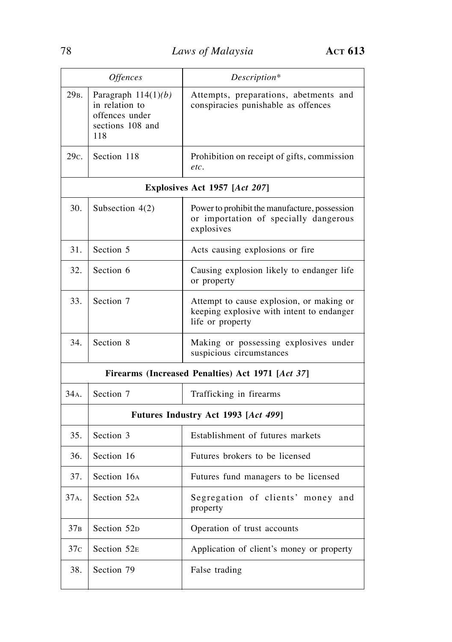|                   | <b>Offences</b>                                                                      | Description*                                                                                              |  |
|-------------------|--------------------------------------------------------------------------------------|-----------------------------------------------------------------------------------------------------------|--|
| 29 <sub>B</sub> . | Paragraph $114(1)(b)$<br>in relation to<br>offences under<br>sections 108 and<br>118 | Attempts, preparations, abetments and<br>conspiracies punishable as offences                              |  |
| 29c.              | Section 118                                                                          | Prohibition on receipt of gifts, commission<br>etc.                                                       |  |
|                   |                                                                                      | Explosives Act 1957 [Act 207]                                                                             |  |
| 30.               | Subsection $4(2)$                                                                    | Power to prohibit the manufacture, possession<br>or importation of specially dangerous<br>explosives      |  |
| 31.               | Section 5                                                                            | Acts causing explosions or fire                                                                           |  |
| 32.               | Section 6                                                                            | Causing explosion likely to endanger life<br>or property                                                  |  |
| 33.               | Section 7                                                                            | Attempt to cause explosion, or making or<br>keeping explosive with intent to endanger<br>life or property |  |
| 34.               | Section 8                                                                            | Making or possessing explosives under<br>suspicious circumstances                                         |  |
|                   | Firearms (Increased Penalties) Act 1971 [Act 37]                                     |                                                                                                           |  |
| 34A.              | Section 7                                                                            | Trafficking in firearms                                                                                   |  |
|                   |                                                                                      | Futures Industry Act 1993 [Act 499]                                                                       |  |
| 35.               | Section 3                                                                            | Establishment of futures markets                                                                          |  |
| 36.               | Section 16                                                                           | Futures brokers to be licensed                                                                            |  |
| 37.               | Section 16A                                                                          | Futures fund managers to be licensed                                                                      |  |
| 37A.              | Section 52A                                                                          | Segregation of clients' money and<br>property                                                             |  |
| 37 <sub>B</sub>   | Section 52D                                                                          | Operation of trust accounts                                                                               |  |
| 37 <sub>C</sub>   | Section 52E                                                                          | Application of client's money or property                                                                 |  |
| 38.               | Section 79                                                                           | False trading                                                                                             |  |

r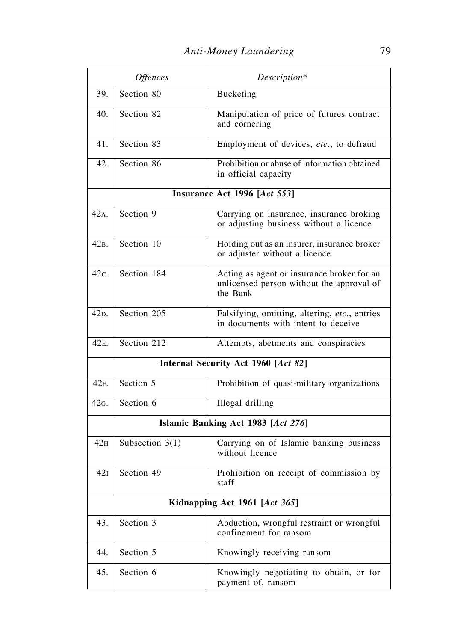|                   | <b>Offences</b>               | Description*                                                                                        |  |
|-------------------|-------------------------------|-----------------------------------------------------------------------------------------------------|--|
| 39.               | Section 80                    | Bucketing                                                                                           |  |
| 40.               | Section 82                    | Manipulation of price of futures contract<br>and cornering                                          |  |
| 41.               | Section 83                    | Employment of devices, etc., to defraud                                                             |  |
| 42.               | Section 86                    | Prohibition or abuse of information obtained<br>in official capacity                                |  |
|                   |                               | Insurance Act 1996 [Act 553]                                                                        |  |
| 42A.              | Section 9                     | Carrying on insurance, insurance broking<br>or adjusting business without a licence                 |  |
| 42 <sub>B</sub> . | Section 10                    | Holding out as an insurer, insurance broker<br>or adjuster without a licence                        |  |
| 42c.              | Section 184                   | Acting as agent or insurance broker for an<br>unlicensed person without the approval of<br>the Bank |  |
| 42 <sub>D</sub> . | Section 205                   | Falsifying, omitting, altering, etc., entries<br>in documents with intent to deceive                |  |
| 42 <sub>E</sub> . | Section 212                   | Attempts, abetments and conspiracies                                                                |  |
|                   |                               | Internal Security Act 1960 [Act 82]                                                                 |  |
| 42F.              | Section 5                     | Prohibition of quasi-military organizations                                                         |  |
| $42G$ .           | Section 6                     | <b>Illegal</b> drilling                                                                             |  |
|                   |                               | Islamic Banking Act 1983 [Act 276]                                                                  |  |
| 42 <sub>H</sub>   | Subsection $3(1)$             | Carrying on of Islamic banking business<br>without licence                                          |  |
| 421               | Section 49                    | Prohibition on receipt of commission by<br>staff                                                    |  |
|                   | Kidnapping Act 1961 [Act 365] |                                                                                                     |  |
| 43.               | Section 3                     | Abduction, wrongful restraint or wrongful<br>confinement for ransom                                 |  |
| 44.               | Section 5                     | Knowingly receiving ransom                                                                          |  |
| 45.               | Section 6                     | Knowingly negotiating to obtain, or for<br>payment of, ransom                                       |  |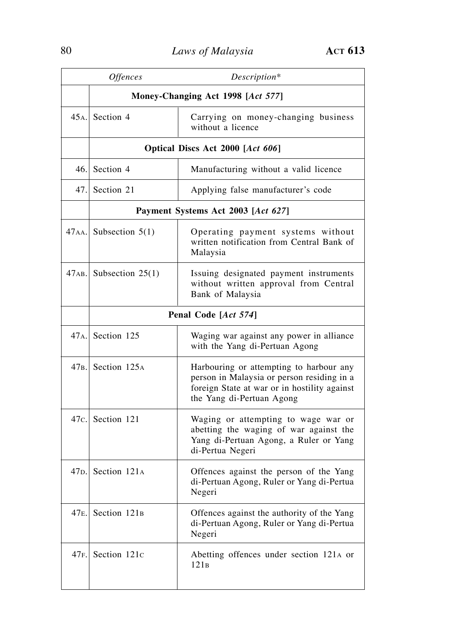|      | <b>Offences</b>                            | Description*                                                                                                                                                       |  |
|------|--------------------------------------------|--------------------------------------------------------------------------------------------------------------------------------------------------------------------|--|
|      | Money-Changing Act 1998 [Act 577]          |                                                                                                                                                                    |  |
|      | 45 <sub>A</sub> . Section 4                | Carrying on money-changing business<br>without a licence                                                                                                           |  |
|      |                                            | Optical Discs Act 2000 [Act 606]                                                                                                                                   |  |
| 46.1 | Section 4                                  | Manufacturing without a valid licence                                                                                                                              |  |
| 47.1 | Section 21                                 | Applying false manufacturer's code                                                                                                                                 |  |
|      |                                            | Payment Systems Act 2003 [Act 627]                                                                                                                                 |  |
|      | $47AA$ . Subsection 5(1)                   | Operating payment systems without<br>written notification from Central Bank of<br>Malaysia                                                                         |  |
|      | $47AB$ . Subsection 25(1)                  | Issuing designated payment instruments<br>without written approval from Central<br>Bank of Malaysia                                                                |  |
|      |                                            | Penal Code [Act 574]                                                                                                                                               |  |
|      | 47 <sub>A</sub> . Section 125              | Waging war against any power in alliance<br>with the Yang di-Pertuan Agong                                                                                         |  |
|      | 47 <sub>B</sub> . Section 125 <sub>A</sub> | Harbouring or attempting to harbour any<br>person in Malaysia or person residing in a<br>foreign State at war or in hostility against<br>the Yang di-Pertuan Agong |  |
| 47c. | Section 121                                | Waging or attempting to wage war or<br>abetting the waging of war against the<br>Yang di-Pertuan Agong, a Ruler or Yang<br>di-Pertua Negeri                        |  |
|      | 47 <sub>D</sub> . Section 121 <sub>A</sub> | Offences against the person of the Yang<br>di-Pertuan Agong, Ruler or Yang di-Pertua<br>Negeri                                                                     |  |
| 47E. | Section 121 <sub>B</sub>                   | Offences against the authority of the Yang<br>di-Pertuan Agong, Ruler or Yang di-Pertua<br>Negeri                                                                  |  |
| 47F. | Section 121c                               | Abetting offences under section 121A or<br>121B                                                                                                                    |  |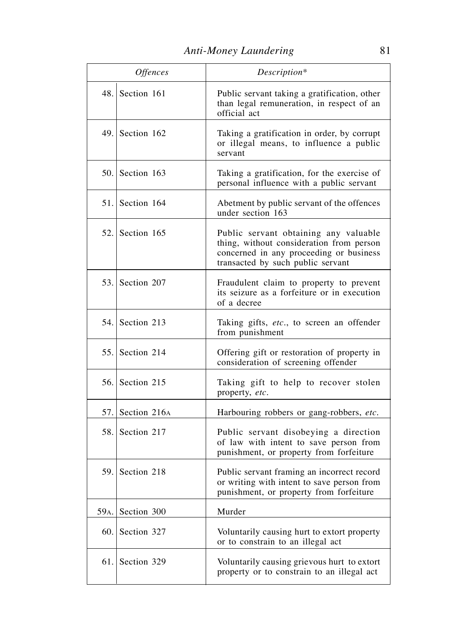|         | Offences           | Description*                                                                                                                                                      |
|---------|--------------------|-------------------------------------------------------------------------------------------------------------------------------------------------------------------|
|         | 48. Section $161$  | Public servant taking a gratification, other<br>than legal remuneration, in respect of an<br>official act                                                         |
|         | 49. Section $162$  | Taking a gratification in order, by corrupt<br>or illegal means, to influence a public<br>servant                                                                 |
|         | $50.$ Section 163  | Taking a gratification, for the exercise of<br>personal influence with a public servant                                                                           |
|         | $51.$ Section 164  | Abetment by public servant of the offences<br>under section 163                                                                                                   |
|         | $52$ . Section 165 | Public servant obtaining any valuable<br>thing, without consideration from person<br>concerned in any proceeding or business<br>transacted by such public servant |
|         | 53. Section 207    | Fraudulent claim to property to prevent<br>its seizure as a forfeiture or in execution<br>of a decree                                                             |
|         | 54. Section 213    | Taking gifts, etc., to screen an offender<br>from punishment                                                                                                      |
|         | 55. Section 214    | Offering gift or restoration of property in<br>consideration of screening offender                                                                                |
|         | 56. Section 215    | Taking gift to help to recover stolen<br>property, etc.                                                                                                           |
|         | 57. Section $216A$ | Harbouring robbers or gang-robbers, etc.                                                                                                                          |
|         | 58. Section 217    | Public servant disobeying a direction<br>of law with intent to save person from<br>punishment, or property from forfeiture                                        |
| 59.     | Section 218        | Public servant framing an incorrect record<br>or writing with intent to save person from<br>punishment, or property from forfeiture                               |
| $59A$ . | Section 300        | Murder                                                                                                                                                            |
| 60.     | Section 327        | Voluntarily causing hurt to extort property<br>or to constrain to an illegal act                                                                                  |
|         | $61.$ Section 329  | Voluntarily causing grievous hurt to extort<br>property or to constrain to an illegal act                                                                         |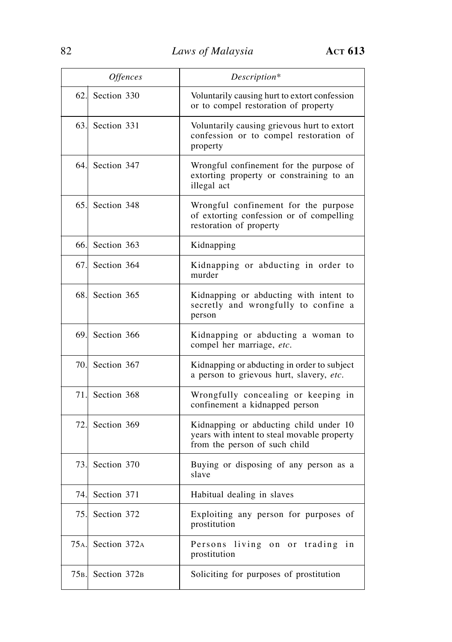|                   | <i><b>Offences</b></i>   | Description*                                                                                                           |
|-------------------|--------------------------|------------------------------------------------------------------------------------------------------------------------|
| <sup>62.1</sup>   | Section 330              | Voluntarily causing hurt to extort confession<br>or to compel restoration of property                                  |
| 63.               | Section 331              | Voluntarily causing grievous hurt to extort<br>confession or to compel restoration of<br>property                      |
| 64.I              | Section 347              | Wrongful confinement for the purpose of<br>extorting property or constraining to an<br>illegal act                     |
| 65.I              | Section 348              | Wrongful confinement for the purpose<br>of extorting confession or of compelling<br>restoration of property            |
| 66.l              | Section 363              | Kidnapping                                                                                                             |
| 67.I              | Section 364              | Kidnapping or abducting in order to<br>murder                                                                          |
| 68.               | Section 365              | Kidnapping or abducting with intent to<br>secretly and wrongfully to confine a<br>person                               |
| 69.               | Section 366              | Kidnapping or abducting a woman to<br>compel her marriage, etc.                                                        |
| 70.I              | Section 367              | Kidnapping or abducting in order to subject<br>a person to grievous hurt, slavery, etc.                                |
| 71.I              | Section 368              | Wrongfully concealing or keeping in<br>confinement a kidnapped person                                                  |
| 72.               | Section 369              | Kidnapping or abducting child under 10<br>years with intent to steal movable property<br>from the person of such child |
| 73.               | Section 370              | Buying or disposing of any person as a<br>slave                                                                        |
| 74.               | Section 371              | Habitual dealing in slaves                                                                                             |
| 75.               | Section 372              | Exploiting any person for purposes of<br>prostitution                                                                  |
| 75 <sub>A</sub> . | Section 372A             | Persons living on or trading<br>in<br>prostitution                                                                     |
| 75B.              | Section 372 <sub>B</sub> | Soliciting for purposes of prostitution                                                                                |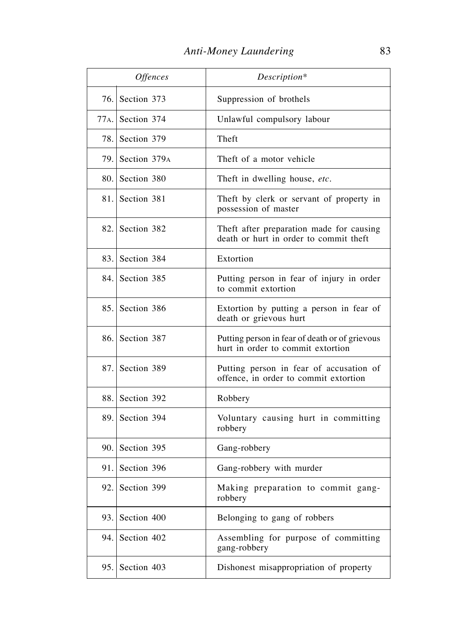|      | <i><b>Offences</b></i> | Description*                                                                        |
|------|------------------------|-------------------------------------------------------------------------------------|
|      | 76. Section 373        | Suppression of brothels                                                             |
|      | $77A$ . Section 374    | Unlawful compulsory labour                                                          |
|      | 78. Section 379        | Theft                                                                               |
| 79.1 | Section 379A           | Theft of a motor vehicle                                                            |
| 80.  | Section 380            | Theft in dwelling house, etc.                                                       |
|      | 81. Section 381        | Theft by clerk or servant of property in<br>possession of master                    |
|      | 82. Section 382        | Theft after preparation made for causing<br>death or hurt in order to commit theft  |
|      | 83. Section 384        | Extortion                                                                           |
|      | 84. Section 385        | Putting person in fear of injury in order<br>to commit extortion                    |
| 85.  | Section 386            | Extortion by putting a person in fear of<br>death or grievous hurt                  |
|      | 86. Section 387        | Putting person in fear of death or of grievous<br>hurt in order to commit extortion |
|      | 87. Section 389        | Putting person in fear of accusation of<br>offence, in order to commit extortion    |
| 88.  | Section 392            | Robbery                                                                             |
|      | 89. Section 394        | Voluntary causing hurt in committing<br>robbery                                     |
|      | 90. Section 395        | Gang-robbery                                                                        |
|      | 91. Section 396        | Gang-robbery with murder                                                            |
| 92.  | Section 399            | Making preparation to commit gang-<br>robbery                                       |
| 93.  | Section 400            | Belonging to gang of robbers                                                        |
| 94.  | Section 402            | Assembling for purpose of committing<br>gang-robbery                                |
| 95.  | Section 403            | Dishonest misappropriation of property                                              |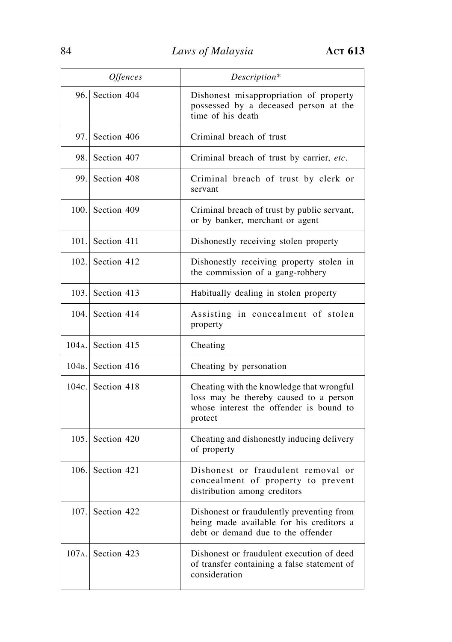|          | <i><b>Offences</b></i>         | Description*                                                                                                                              |
|----------|--------------------------------|-------------------------------------------------------------------------------------------------------------------------------------------|
|          | 96. Section 404                | Dishonest misappropriation of property<br>possessed by a deceased person at the<br>time of his death                                      |
| 97.1     | Section 406                    | Criminal breach of trust                                                                                                                  |
| 98.      | Section 407                    | Criminal breach of trust by carrier, etc.                                                                                                 |
| 99.      | Section 408                    | Criminal breach of trust by clerk or<br>servant                                                                                           |
|          | 100. Section 409               | Criminal breach of trust by public servant,<br>or by banker, merchant or agent                                                            |
|          | 101. Section 411               | Dishonestly receiving stolen property                                                                                                     |
|          | 102. Section 412               | Dishonestly receiving property stolen in<br>the commission of a gang-robbery                                                              |
|          | 103. Section $413$             | Habitually dealing in stolen property                                                                                                     |
|          | 104. Section 414               | Assisting in concealment of stolen<br>property                                                                                            |
|          | $104A$ . Section 415           | Cheating                                                                                                                                  |
|          | 104 <sub>B</sub> . Section 416 | Cheating by personation                                                                                                                   |
|          | 104c. Section $418$            | Cheating with the knowledge that wrongful<br>loss may be thereby caused to a person<br>whose interest the offender is bound to<br>protect |
| 105.1    | Section 420                    | Cheating and dishonestly inducing delivery<br>of property                                                                                 |
|          | 106. Section 421               | Dishonest or fraudulent removal or<br>concealment of property to prevent<br>distribution among creditors                                  |
| 107.1    | Section 422                    | Dishonest or fraudulently preventing from<br>being made available for his creditors a<br>debt or demand due to the offender               |
| $107A$ . | Section 423                    | Dishonest or fraudulent execution of deed<br>of transfer containing a false statement of<br>consideration                                 |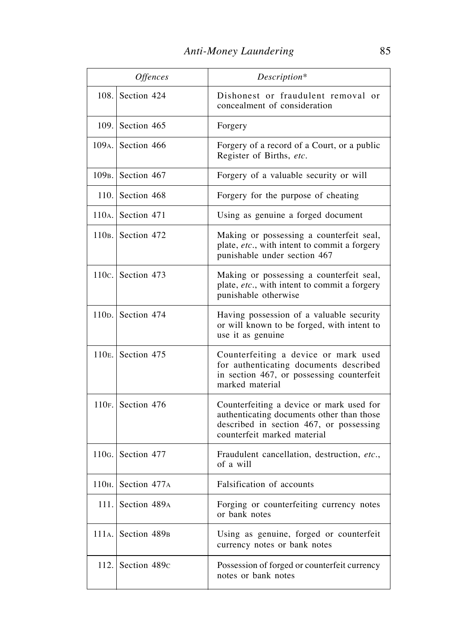|       | Offences                       | Description*                                                                                                                                                    |
|-------|--------------------------------|-----------------------------------------------------------------------------------------------------------------------------------------------------------------|
|       | 108. Section 424               | Dishonest or fraudulent removal or<br>concealment of consideration                                                                                              |
| 109.1 | Section 465                    | Forgery                                                                                                                                                         |
|       | $109A$ . Section 466           | Forgery of a record of a Court, or a public<br>Register of Births, etc.                                                                                         |
|       | 109 <sub>B</sub> . Section 467 | Forgery of a valuable security or will                                                                                                                          |
|       | 110. Section $468$             | Forgery for the purpose of cheating                                                                                                                             |
|       | $110A$ . Section 471           | Using as genuine a forged document                                                                                                                              |
|       | $110B$ . Section 472           | Making or possessing a counterfeit seal,<br>plate, etc., with intent to commit a forgery<br>punishable under section 467                                        |
|       | 110 $c$ . Section 473          | Making or possessing a counterfeit seal,<br>plate, etc., with intent to commit a forgery<br>punishable otherwise                                                |
|       | $110p$ . Section 474           | Having possession of a valuable security<br>or will known to be forged, with intent to<br>use it as genuine                                                     |
|       | $110E$ . Section 475           | Counterfeiting a device or mark used<br>for authenticating documents described<br>in section 467, or possessing counterfeit<br>marked material                  |
|       | $110F$ . Section 476           | Counterfeiting a device or mark used for<br>authenticating documents other than those<br>described in section 467, or possessing<br>counterfeit marked material |
|       | $110G$ . Section 477           | Fraudulent cancellation, destruction, etc.,<br>of a will                                                                                                        |
| 110H. | Section 477A                   | Falsification of accounts                                                                                                                                       |
| 111.  | Section 489A                   | Forging or counterfeiting currency notes<br>or bank notes                                                                                                       |
| 111A. | Section 489 <sub>B</sub>       | Using as genuine, forged or counterfeit<br>currency notes or bank notes                                                                                         |
| 112.1 | Section 489c                   | Possession of forged or counterfeit currency<br>notes or bank notes                                                                                             |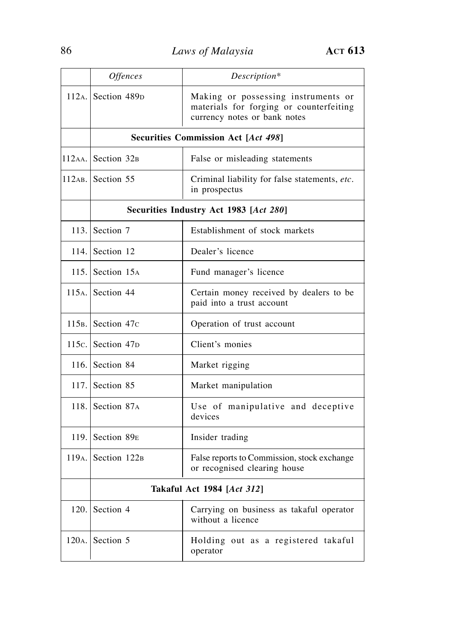|                    | <b>Offences</b>                        | Description*                                                                                                   |
|--------------------|----------------------------------------|----------------------------------------------------------------------------------------------------------------|
|                    | $112A$ . Section 489 <sub>D</sub>      | Making or possessing instruments or<br>materials for forging or counterfeiting<br>currency notes or bank notes |
|                    |                                        | <b>Securities Commission Act [Act 498]</b>                                                                     |
|                    | 112AA. Section 32B                     | False or misleading statements                                                                                 |
|                    | 112AB. Section 55                      | Criminal liability for false statements, etc.<br>in prospectus                                                 |
|                    | Securities Industry Act 1983 [Act 280] |                                                                                                                |
|                    | 113. Section $7$                       | Establishment of stock markets                                                                                 |
|                    | 114. Section $12$                      | Dealer's licence                                                                                               |
|                    | 115. Section $15_A$                    | Fund manager's licence                                                                                         |
|                    | $115A$ . Section 44                    | Certain money received by dealers to be<br>paid into a trust account                                           |
|                    | 115 <sub>B</sub> . Section $47c$       | Operation of trust account                                                                                     |
|                    | 115c. Section $47p$                    | Client's monies                                                                                                |
|                    | 116. Section $84$                      | Market rigging                                                                                                 |
|                    | 117. Section $85$                      | Market manipulation                                                                                            |
|                    | 118. Section $87A$                     | Use of manipulative and deceptive<br>devices                                                                   |
|                    | 119. Section $89E$                     | Insider trading                                                                                                |
|                    | $119A$ . Section $122B$                | False reports to Commission, stock exchange<br>or recognised clearing house                                    |
|                    | <b>Takaful Act 1984 [Act 312]</b>      |                                                                                                                |
|                    | 120. Section $4$                       | Carrying on business as takaful operator<br>without a licence                                                  |
| 120 <sub>A</sub> . | Section 5                              | Holding out as a registered takaful<br>operator                                                                |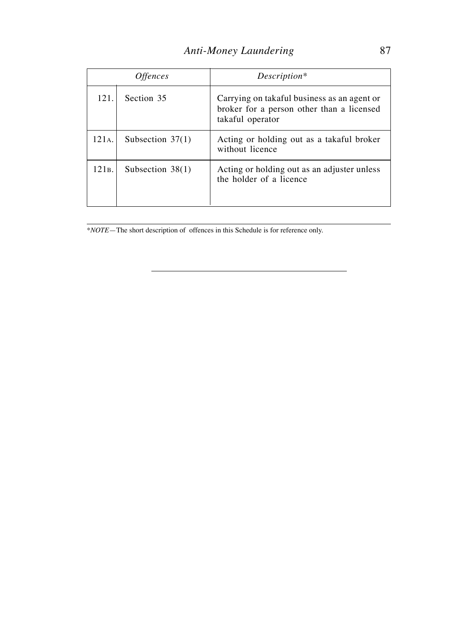| <i><b>Offences</b></i> |                    | Description*                                                                                                 |  |
|------------------------|--------------------|--------------------------------------------------------------------------------------------------------------|--|
| 121.                   | Section 35         | Carrying on takaful business as an agent or<br>broker for a person other than a licensed<br>takaful operator |  |
| 121 <sub>A</sub> .     | Subsection $37(1)$ | Acting or holding out as a takaful broker<br>without licence                                                 |  |
| 121в.                  | Subsection $38(1)$ | Acting or holding out as an adjuster unless<br>the holder of a licence                                       |  |

\**NOTE*—The short description of offences in this Schedule is for reference only.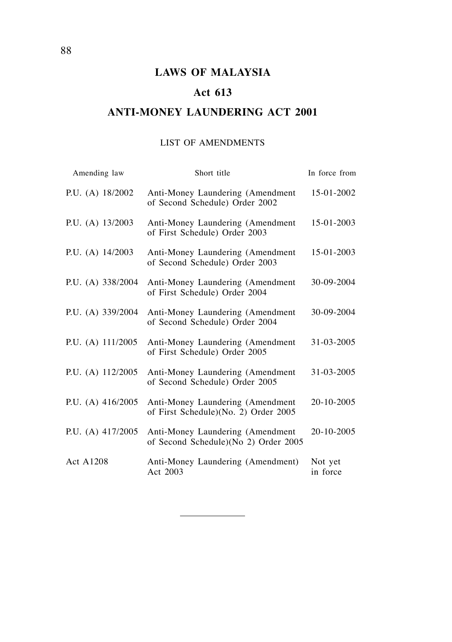## **LAWS OF MALAYSIA**

## **Act 613**

## **ANTI-MONEY LAUNDERING ACT 2001**

### LIST OF AMENDMENTS

| Amending law        | Short title                                                              | In force from       |
|---------------------|--------------------------------------------------------------------------|---------------------|
| P.U. (A) $18/2002$  | Anti-Money Laundering (Amendment<br>of Second Schedule) Order 2002       | 15-01-2002          |
| P.U. (A) 13/2003    | Anti-Money Laundering (Amendment<br>of First Schedule) Order 2003        | 15-01-2003          |
| P.U. (A) 14/2003    | Anti-Money Laundering (Amendment<br>of Second Schedule) Order 2003       | 15-01-2003          |
| P.U. (A) 338/2004   | Anti-Money Laundering (Amendment<br>of First Schedule) Order 2004        | 30-09-2004          |
| P.U. (A) 339/2004   | Anti-Money Laundering (Amendment<br>of Second Schedule) Order 2004       | 30-09-2004          |
| P.U. (A) 111/2005   | Anti-Money Laundering (Amendment<br>of First Schedule) Order 2005        | 31-03-2005          |
| P.U. (A) 112/2005   | Anti-Money Laundering (Amendment<br>of Second Schedule) Order 2005       | 31-03-2005          |
| P.U. (A) $416/2005$ | Anti-Money Laundering (Amendment<br>of First Schedule)(No. 2) Order 2005 | 20-10-2005          |
| P.U. (A) 417/2005   | Anti-Money Laundering (Amendment<br>of Second Schedule)(No 2) Order 2005 | 20-10-2005          |
| Act A1208           | Anti-Money Laundering (Amendment)<br>Act 2003                            | Not yet<br>in force |